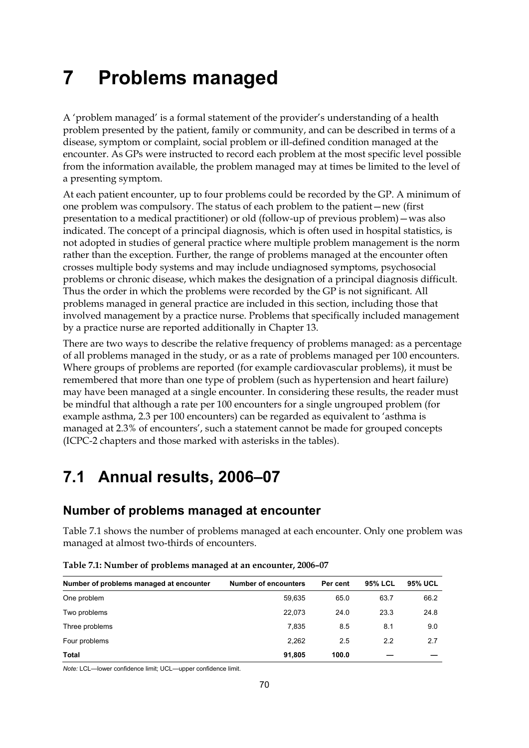# **7 Problems managed**

A 'problem managed' is a formal statement of the provider's understanding of a health problem presented by the patient, family or community, and can be described in terms of a disease, symptom or complaint, social problem or ill-defined condition managed at the encounter. As GPs were instructed to record each problem at the most specific level possible from the information available, the problem managed may at times be limited to the level of a presenting symptom.

At each patient encounter, up to four problems could be recorded by the GP. A minimum of one problem was compulsory. The status of each problem to the patient—new (first presentation to a medical practitioner) or old (follow-up of previous problem)—was also indicated. The concept of a principal diagnosis, which is often used in hospital statistics, is not adopted in studies of general practice where multiple problem management is the norm rather than the exception. Further, the range of problems managed at the encounter often crosses multiple body systems and may include undiagnosed symptoms, psychosocial problems or chronic disease, which makes the designation of a principal diagnosis difficult. Thus the order in which the problems were recorded by the GP is not significant. All problems managed in general practice are included in this section, including those that involved management by a practice nurse. Problems that specifically included management by a practice nurse are reported additionally in Chapter 13.

There are two ways to describe the relative frequency of problems managed: as a percentage of all problems managed in the study, or as a rate of problems managed per 100 encounters. Where groups of problems are reported (for example cardiovascular problems), it must be remembered that more than one type of problem (such as hypertension and heart failure) may have been managed at a single encounter. In considering these results, the reader must be mindful that although a rate per 100 encounters for a single ungrouped problem (for example asthma, 2.3 per 100 encounters) can be regarded as equivalent to 'asthma is managed at 2.3% of encounters', such a statement cannot be made for grouped concepts (ICPC-2 chapters and those marked with asterisks in the tables).

# **7.1 Annual results, 2006–07**

# **Number of problems managed at encounter**

Table 7.1 shows the number of problems managed at each encounter. Only one problem was managed at almost two-thirds of encounters.

| Number of problems managed at encounter | <b>Number of encounters</b> | Per cent | <b>95% LCL</b> | <b>95% UCL</b> |
|-----------------------------------------|-----------------------------|----------|----------------|----------------|
| One problem                             | 59,635                      | 65.0     | 63.7           | 66.2           |
| Two problems                            | 22.073                      | 24.0     | 23.3           | 24.8           |
| Three problems                          | 7,835                       | 8.5      | 8.1            | 9.0            |
| Four problems                           | 2,262                       | 2.5      | 2.2            | 2.7            |
| Total                                   | 91,805                      | 100.0    |                |                |

|  | Table 7.1: Number of problems managed at an encounter, 2006-07 |
|--|----------------------------------------------------------------|
|  |                                                                |

*Note:* LCL—lower confidence limit; UCL—upper confidence limit.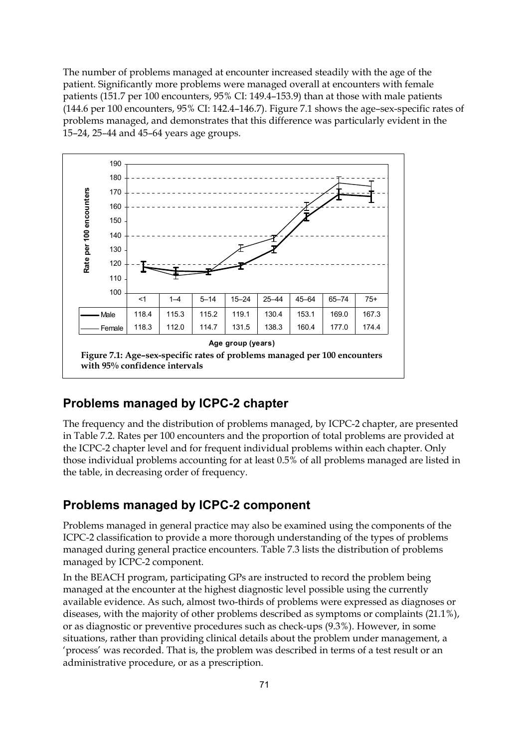The number of problems managed at encounter increased steadily with the age of the patient. Significantly more problems were managed overall at encounters with female patients (151.7 per 100 encounters, 95% CI: 149.4–153.9) than at those with male patients (144.6 per 100 encounters, 95% CI: 142.4–146.7). Figure 7.1 shows the age–sex-specific rates of problems managed, and demonstrates that this difference was particularly evident in the 15–24, 25–44 and 45–64 years age groups.



### **Problems managed by ICPC-2 chapter**

The frequency and the distribution of problems managed, by ICPC-2 chapter, are presented in Table 7.2. Rates per 100 encounters and the proportion of total problems are provided at the ICPC-2 chapter level and for frequent individual problems within each chapter. Only those individual problems accounting for at least 0.5% of all problems managed are listed in the table, in decreasing order of frequency.

### **Problems managed by ICPC-2 component**

Problems managed in general practice may also be examined using the components of the ICPC-2 classification to provide a more thorough understanding of the types of problems managed during general practice encounters. Table 7.3 lists the distribution of problems managed by ICPC-2 component.

In the BEACH program, participating GPs are instructed to record the problem being managed at the encounter at the highest diagnostic level possible using the currently available evidence. As such, almost two-thirds of problems were expressed as diagnoses or diseases, with the majority of other problems described as symptoms or complaints (21.1%), or as diagnostic or preventive procedures such as check-ups (9.3%). However, in some situations, rather than providing clinical details about the problem under management, a 'process' was recorded. That is, the problem was described in terms of a test result or an administrative procedure, or as a prescription.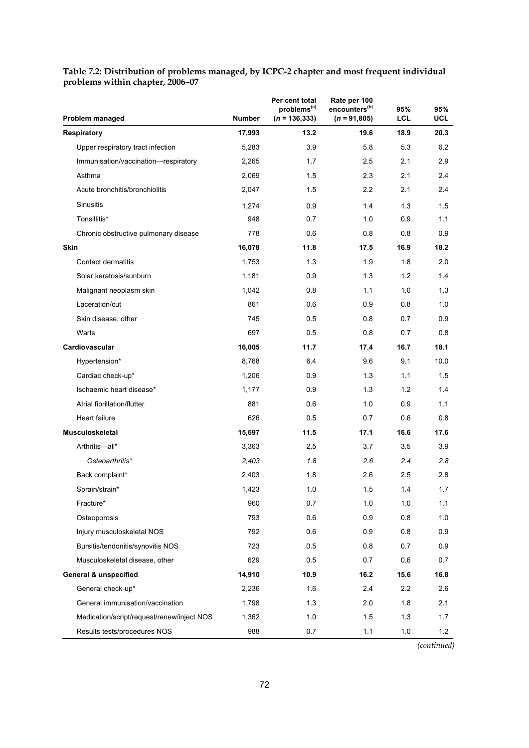| Problem managed                            | <b>Number</b> | Per cent total<br>problems <sup>(a)</sup><br>$(n = 136, 333)$ | Rate per 100<br>encounters <sup>(b)</sup><br>$(n = 91,805)$ | 95%<br>LCL | 95%<br>UCL |
|--------------------------------------------|---------------|---------------------------------------------------------------|-------------------------------------------------------------|------------|------------|
| <b>Respiratory</b>                         | 17,993        | 13.2                                                          | 19.6                                                        | 18.9       | 20.3       |
| Upper respiratory tract infection          | 5,283         | 3.9                                                           | 5.8                                                         | 5.3        | 6.2        |
| Immunisation/vaccination-respiratory       | 2,265         | 1.7                                                           | 2.5                                                         | 2.1        | 2.9        |
| Asthma                                     | 2,069         | 1.5                                                           | 2.3                                                         | 2.1        | 2.4        |
| Acute bronchitis/bronchiolitis             | 2,047         | 1.5                                                           | 2.2                                                         | 2.1        | 2.4        |
| <b>Sinusitis</b>                           | 1,274         | 0.9                                                           | 1.4                                                         | 1.3        | 1.5        |
| Tonsillitis*                               | 948           | 0.7                                                           | 1.0                                                         | 0.9        | 1.1        |
| Chronic obstructive pulmonary disease      | 778           | 0.6                                                           | 0.8                                                         | 0.8        | 0.9        |
| <b>Skin</b>                                | 16,078        | 11.8                                                          | 17.5                                                        | 16.9       | 18.2       |
| Contact dermatitis                         | 1,753         | 1.3                                                           | 1.9                                                         | 1.8        | 2.0        |
| Solar keratosis/sunburn                    | 1,181         | 0.9                                                           | 1.3                                                         | 1.2        | 1.4        |
| Malignant neoplasm skin                    | 1,042         | 0.8                                                           | 1.1                                                         | 1.0        | 1.3        |
| Laceration/cut                             | 861           | 0.6                                                           | 0.9                                                         | 0.8        | 1.0        |
| Skin disease, other                        | 745           | 0.5                                                           | 0.8                                                         | 0.7        | 0.9        |
| Warts                                      | 697           | 0.5                                                           | 0.8                                                         | 0.7        | 0.8        |
| Cardiovascular                             | 16,005        | 11.7                                                          | 17.4                                                        | 16.7       | 18.1       |
| Hypertension*                              | 8,768         | 6.4                                                           | 9.6                                                         | 9.1        | 10.0       |
| Cardiac check-up*                          | 1,206         | 0.9                                                           | 1.3                                                         | 1.1        | 1.5        |
| Ischaemic heart disease*                   | 1,177         | 0.9                                                           | 1.3                                                         | 1.2        | 1.4        |
| Atrial fibrillation/flutter                | 881           | 0.6                                                           | 1.0                                                         | 0.9        | 1.1        |
| Heart failure                              | 626           | 0.5                                                           | 0.7                                                         | 0.6        | 0.8        |
| <b>Musculoskeletal</b>                     | 15,697        | 11.5                                                          | 17.1                                                        | 16.6       | 17.6       |
| Arthritis-all*                             | 3,363         | 2.5                                                           | 3.7                                                         | 3.5        | 3.9        |
| Osteoarthritis*                            | 2,403         | 1.8                                                           | 2.6                                                         | 2.4        | 2.8        |
| Back complaint*                            | 2,403         | 1.8                                                           | 2.6                                                         | 2.5        | 2.8        |
| Sprain/strain*                             | 1,423         | 1.0                                                           | 1.5                                                         | 1.4        | 1.7        |
| Fracture*                                  | 960           | 0.7                                                           | 1.0                                                         | $1.0$      | 1.1        |
| Osteoporosis                               | 793           | 0.6                                                           | 0.9                                                         | 0.8        | 1.0        |
| Injury musculoskeletal NOS                 | 792           | 0.6                                                           | 0.9                                                         | 0.8        | 0.9        |
| Bursitis/tendonitis/synovitis NOS          | 723           | 0.5                                                           | 0.8                                                         | 0.7        | 0.9        |
| Musculoskeletal disease, other             | 629           | 0.5                                                           | 0.7                                                         | 0.6        | 0.7        |
| <b>General &amp; unspecified</b>           | 14,910        | 10.9                                                          | 16.2                                                        | 15.6       | 16.8       |
| General check-up*                          | 2,236         | 1.6                                                           | 2.4                                                         | 2.2        | 2.6        |
| General immunisation/vaccination           | 1,798         | 1.3                                                           | 2.0                                                         | 1.8        | 2.1        |
| Medication/script/request/renew/inject NOS | 1,362         | 1.0                                                           | 1.5                                                         | 1.3        | 1.7        |
| Results tests/procedures NOS               | 988           | 0.7                                                           | 1.1                                                         | $1.0\,$    | 1.2        |

#### **Table 7.2: Distribution of problems managed, by ICPC-2 chapter and most frequent individual problems within chapter, 2006–07**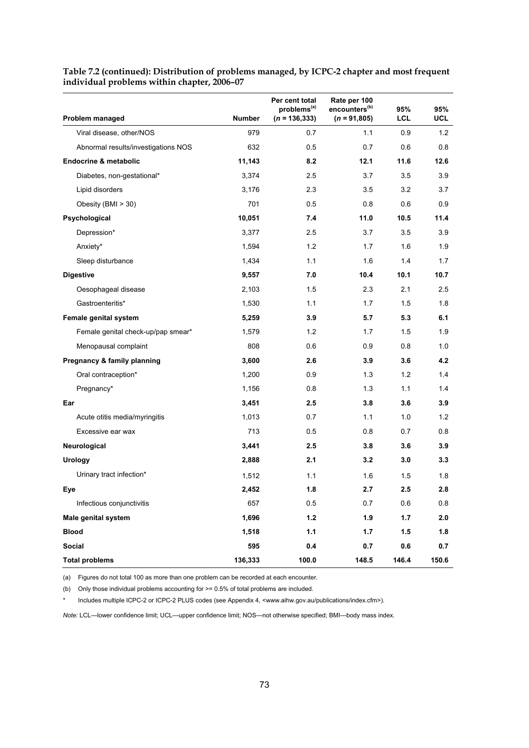|                                     |               | Per cent total<br>problems <sup>(a)</sup> | Rate per 100<br>encounters <sup>(b)</sup> | 95%   | 95%        |
|-------------------------------------|---------------|-------------------------------------------|-------------------------------------------|-------|------------|
| Problem managed                     | <b>Number</b> | $(n = 136, 333)$                          | $(n = 91,805)$                            | LCL   | <b>UCL</b> |
| Viral disease, other/NOS            | 979           | 0.7                                       | 1.1                                       | 0.9   | 1.2        |
| Abnormal results/investigations NOS | 632           | 0.5                                       | 0.7                                       | 0.6   | 0.8        |
| <b>Endocrine &amp; metabolic</b>    | 11,143        | 8.2                                       | 12.1                                      | 11.6  | 12.6       |
| Diabetes, non-gestational*          | 3,374         | 2.5                                       | 3.7                                       | 3.5   | 3.9        |
| Lipid disorders                     | 3,176         | 2.3                                       | 3.5                                       | 3.2   | 3.7        |
| Obesity (BMI > 30)                  | 701           | 0.5                                       | 0.8                                       | 0.6   | 0.9        |
| Psychological                       | 10,051        | 7.4                                       | 11.0                                      | 10.5  | 11.4       |
| Depression*                         | 3,377         | 2.5                                       | 3.7                                       | 3.5   | 3.9        |
| Anxiety*                            | 1,594         | 1.2                                       | 1.7                                       | 1.6   | 1.9        |
| Sleep disturbance                   | 1,434         | 1.1                                       | 1.6                                       | 1.4   | 1.7        |
| <b>Digestive</b>                    | 9,557         | 7.0                                       | 10.4                                      | 10.1  | 10.7       |
| Oesophageal disease                 | 2,103         | 1.5                                       | 2.3                                       | 2.1   | 2.5        |
| Gastroenteritis*                    | 1,530         | 1.1                                       | 1.7                                       | 1.5   | 1.8        |
| Female genital system               | 5,259         | 3.9                                       | 5.7                                       | 5.3   | 6.1        |
| Female genital check-up/pap smear*  | 1,579         | 1.2                                       | 1.7                                       | 1.5   | 1.9        |
| Menopausal complaint                | 808           | 0.6                                       | 0.9                                       | 0.8   | 1.0        |
| Pregnancy & family planning         | 3,600         | 2.6                                       | 3.9                                       | 3.6   | 4.2        |
| Oral contraception*                 | 1,200         | 0.9                                       | 1.3                                       | 1.2   | 1.4        |
| Pregnancy*                          | 1,156         | 0.8                                       | 1.3                                       | 1.1   | 1.4        |
| Ear                                 | 3,451         | 2.5                                       | 3.8                                       | 3.6   | 3.9        |
| Acute otitis media/myringitis       | 1,013         | 0.7                                       | 1.1                                       | 1.0   | 1.2        |
| Excessive ear wax                   | 713           | 0.5                                       | 0.8                                       | 0.7   | 0.8        |
| Neurological                        | 3,441         | 2.5                                       | 3.8                                       | 3.6   | 3.9        |
| <b>Urology</b>                      | 2,888         | 2.1                                       | 3.2                                       | 3.0   | 3.3        |
| Urinary tract infection*            | 1,512         | 1.1                                       | 1.6                                       | 1.5   | 1.8        |
| Eye                                 | 2,452         | 1.8                                       | 2.7                                       | 2.5   | 2.8        |
| Infectious conjunctivitis           | 657           | 0.5                                       | 0.7                                       | 0.6   | 0.8        |
| Male genital system                 | 1,696         | $1.2$                                     | 1.9                                       | 1.7   | 2.0        |
| <b>Blood</b>                        | 1,518         | $1.1$                                     | 1.7                                       | 1.5   | 1.8        |
| Social                              | 595           | 0.4                                       | 0.7                                       | 0.6   | 0.7        |
| <b>Total problems</b>               | 136,333       | 100.0                                     | 148.5                                     | 146.4 | 150.6      |

**Table 7.2 (continued): Distribution of problems managed, by ICPC-2 chapter and most frequent individual problems within chapter, 2006–07** 

(a) Figures do not total 100 as more than one problem can be recorded at each encounter.

(b) Only those individual problems accounting for >= 0.5% of total problems are included.

Includes multiple ICPC-2 or ICPC-2 PLUS codes (see Appendix 4, <www.aihw.gov.au/publications/index.cfm>).

*Note:* LCL—lower confidence limit; UCL—upper confidence limit; NOS—not otherwise specified; BMI—body mass index.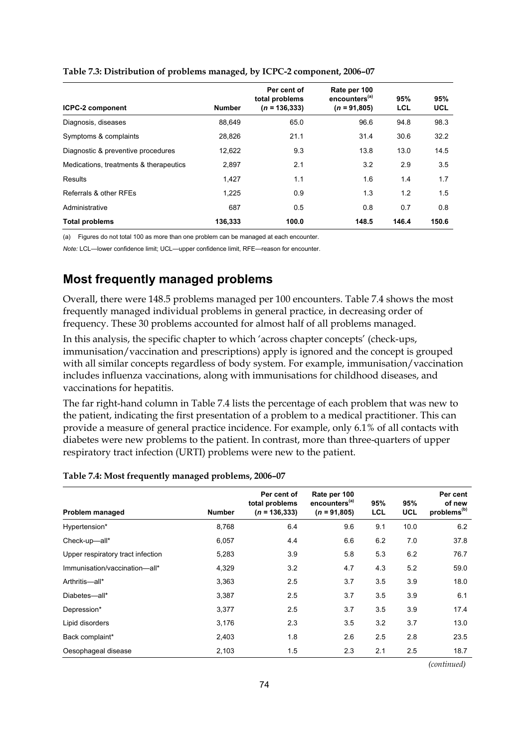| <b>ICPC-2 component</b>                | <b>Number</b> | Per cent of<br>total problems<br>$(n = 136, 333)$ | Rate per 100<br>encounters <sup>(a)</sup><br>$(n = 91,805)$ | 95%<br>LCL | 95%<br><b>UCL</b> |
|----------------------------------------|---------------|---------------------------------------------------|-------------------------------------------------------------|------------|-------------------|
| Diagnosis, diseases                    | 88.649        | 65.0                                              | 96.6                                                        | 94.8       | 98.3              |
| Symptoms & complaints                  | 28,826        | 21.1                                              | 31.4                                                        | 30.6       | 32.2              |
| Diagnostic & preventive procedures     | 12,622        | 9.3                                               | 13.8                                                        | 13.0       | 14.5              |
| Medications, treatments & therapeutics | 2.897         | 2.1                                               | 3.2                                                         | 2.9        | 3.5               |
| Results                                | 1.427         | 1.1                                               | 1.6                                                         | 1.4        | 1.7               |
| Referrals & other RFEs                 | 1.225         | 0.9                                               | 1.3                                                         | 1.2        | 1.5               |
| Administrative                         | 687           | 0.5                                               | 0.8                                                         | 0.7        | 0.8               |
| <b>Total problems</b>                  | 136,333       | 100.0                                             | 148.5                                                       | 146.4      | 150.6             |

#### **Table 7.3: Distribution of problems managed, by ICPC-2 component, 2006–07**

(a) Figures do not total 100 as more than one problem can be managed at each encounter.

*Note:* LCL—lower confidence limit; UCL—upper confidence limit, RFE—reason for encounter.

### **Most frequently managed problems**

Overall, there were 148.5 problems managed per 100 encounters. Table 7.4 shows the most frequently managed individual problems in general practice, in decreasing order of frequency. These 30 problems accounted for almost half of all problems managed.

In this analysis, the specific chapter to which 'across chapter concepts' (check-ups, immunisation/vaccination and prescriptions) apply is ignored and the concept is grouped with all similar concepts regardless of body system. For example, immunisation/vaccination includes influenza vaccinations, along with immunisations for childhood diseases, and vaccinations for hepatitis.

The far right-hand column in Table 7.4 lists the percentage of each problem that was new to the patient, indicating the first presentation of a problem to a medical practitioner. This can provide a measure of general practice incidence. For example, only 6.1% of all contacts with diabetes were new problems to the patient. In contrast, more than three-quarters of upper respiratory tract infection (URTI) problems were new to the patient.

| Table 7.4: Most frequently managed problems, 2006-07 |  |
|------------------------------------------------------|--|
|                                                      |  |

| Problem managed                   | <b>Number</b> | Per cent of<br>total problems<br>$(n = 136, 333)$ | Rate per 100<br>encounters <sup>(a)</sup><br>$(n = 91,805)$ | 95%<br>LCL | 95%<br><b>UCL</b> | Per cent<br>of new<br>problems <sup>(b)</sup> |
|-----------------------------------|---------------|---------------------------------------------------|-------------------------------------------------------------|------------|-------------------|-----------------------------------------------|
| Hypertension*                     | 8,768         | 6.4                                               | 9.6                                                         | 9.1        | 10.0              | 6.2                                           |
| Check-up-all*                     | 6,057         | 4.4                                               | 6.6                                                         | 6.2        | 7.0               | 37.8                                          |
| Upper respiratory tract infection | 5,283         | 3.9                                               | 5.8                                                         | 5.3        | 6.2               | 76.7                                          |
| Immunisation/vaccination-all*     | 4,329         | 3.2                                               | 4.7                                                         | 4.3        | 5.2               | 59.0                                          |
| Arthritis-all*                    | 3,363         | 2.5                                               | 3.7                                                         | 3.5        | 3.9               | 18.0                                          |
| Diabetes-all*                     | 3,387         | 2.5                                               | 3.7                                                         | 3.5        | 3.9               | 6.1                                           |
| Depression*                       | 3,377         | 2.5                                               | 3.7                                                         | 3.5        | 3.9               | 17.4                                          |
| Lipid disorders                   | 3,176         | 2.3                                               | 3.5                                                         | 3.2        | 3.7               | 13.0                                          |
| Back complaint*                   | 2,403         | 1.8                                               | 2.6                                                         | 2.5        | 2.8               | 23.5                                          |
| Oesophageal disease               | 2,103         | 1.5                                               | 2.3                                                         | 2.1        | 2.5               | 18.7                                          |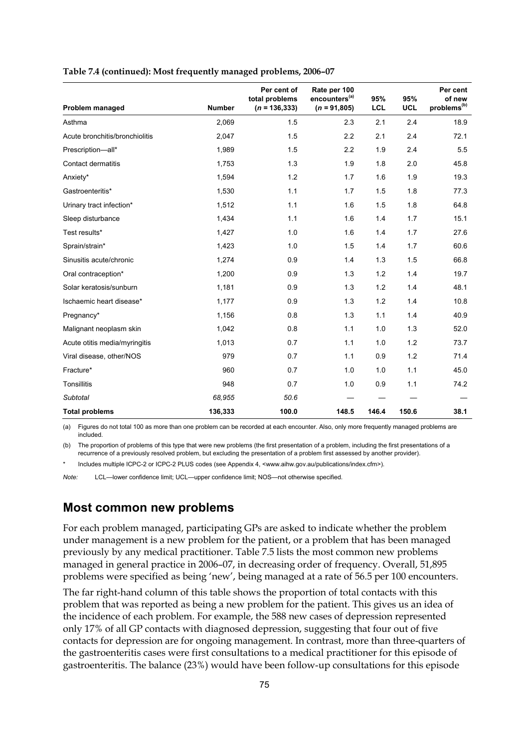| Problem managed                | <b>Number</b> | Per cent of<br>total problems<br>$(n = 136, 333)$ | Rate per 100<br>encounters <sup>(a)</sup><br>$(n = 91,805)$ | 95%<br><b>LCL</b> | 95%<br><b>UCL</b> | Per cent<br>of new<br>problems <sup>(b)</sup> |
|--------------------------------|---------------|---------------------------------------------------|-------------------------------------------------------------|-------------------|-------------------|-----------------------------------------------|
| Asthma                         | 2.069         | 1.5                                               | 2.3                                                         | 2.1               | 2.4               | 18.9                                          |
| Acute bronchitis/bronchiolitis | 2.047         | 1.5                                               | 2.2                                                         | 2.1               | 2.4               | 72.1                                          |
| Prescription-all*              | 1,989         | 1.5                                               | 2.2                                                         | 1.9               | 2.4               | 5.5                                           |
| <b>Contact dermatitis</b>      | 1,753         | 1.3                                               | 1.9                                                         | 1.8               | 2.0               | 45.8                                          |
| Anxiety*                       | 1,594         | 1.2                                               | 1.7                                                         | 1.6               | 1.9               | 19.3                                          |
| Gastroenteritis*               | 1,530         | 1.1                                               | 1.7                                                         | 1.5               | 1.8               | 77.3                                          |
| Urinary tract infection*       | 1,512         | 1.1                                               | 1.6                                                         | 1.5               | 1.8               | 64.8                                          |
| Sleep disturbance              | 1,434         | 1.1                                               | 1.6                                                         | 1.4               | 1.7               | 15.1                                          |
| Test results*                  | 1,427         | 1.0                                               | 1.6                                                         | 1.4               | 1.7               | 27.6                                          |
| Sprain/strain*                 | 1,423         | 1.0                                               | 1.5                                                         | 1.4               | 1.7               | 60.6                                          |
| Sinusitis acute/chronic        | 1,274         | 0.9                                               | 1.4                                                         | 1.3               | 1.5               | 66.8                                          |
| Oral contraception*            | 1,200         | 0.9                                               | 1.3                                                         | 1.2               | 1.4               | 19.7                                          |
| Solar keratosis/sunburn        | 1,181         | 0.9                                               | 1.3                                                         | 1.2               | 1.4               | 48.1                                          |
| Ischaemic heart disease*       | 1,177         | 0.9                                               | 1.3                                                         | 1.2               | 1.4               | 10.8                                          |
| Pregnancy*                     | 1,156         | 0.8                                               | 1.3                                                         | 1.1               | 1.4               | 40.9                                          |
| Malignant neoplasm skin        | 1,042         | 0.8                                               | 1.1                                                         | 1.0               | 1.3               | 52.0                                          |
| Acute otitis media/myringitis  | 1,013         | 0.7                                               | 1.1                                                         | 1.0               | 1.2               | 73.7                                          |
| Viral disease, other/NOS       | 979           | 0.7                                               | 1.1                                                         | 0.9               | 1.2               | 71.4                                          |
| Fracture*                      | 960           | 0.7                                               | 1.0                                                         | 1.0               | 1.1               | 45.0                                          |
| Tonsillitis                    | 948           | 0.7                                               | 1.0                                                         | 0.9               | 1.1               | 74.2                                          |
| <b>Subtotal</b>                | 68,955        | 50.6                                              |                                                             |                   |                   |                                               |
| <b>Total problems</b>          | 136,333       | 100.0                                             | 148.5                                                       | 146.4             | 150.6             | 38.1                                          |

#### **Table 7.4 (continued): Most frequently managed problems, 2006–07**

(a) Figures do not total 100 as more than one problem can be recorded at each encounter. Also, only more frequently managed problems are included.

(b) The proportion of problems of this type that were new problems (the first presentation of a problem, including the first presentations of a recurrence of a previously resolved problem, but excluding the presentation of a problem first assessed by another provider).

Includes multiple ICPC-2 or ICPC-2 PLUS codes (see Appendix 4, <www.aihw.gov.au/publications/index.cfm>).

*Note:* LCL—lower confidence limit; UCL—upper confidence limit; NOS—not otherwise specified.

### **Most common new problems**

For each problem managed, participating GPs are asked to indicate whether the problem under management is a new problem for the patient, or a problem that has been managed previously by any medical practitioner. Table 7.5 lists the most common new problems managed in general practice in 2006–07, in decreasing order of frequency. Overall, 51,895 problems were specified as being 'new', being managed at a rate of 56.5 per 100 encounters.

The far right-hand column of this table shows the proportion of total contacts with this problem that was reported as being a new problem for the patient. This gives us an idea of the incidence of each problem. For example, the 588 new cases of depression represented only 17% of all GP contacts with diagnosed depression, suggesting that four out of five contacts for depression are for ongoing management. In contrast, more than three-quarters of the gastroenteritis cases were first consultations to a medical practitioner for this episode of gastroenteritis. The balance (23%) would have been follow-up consultations for this episode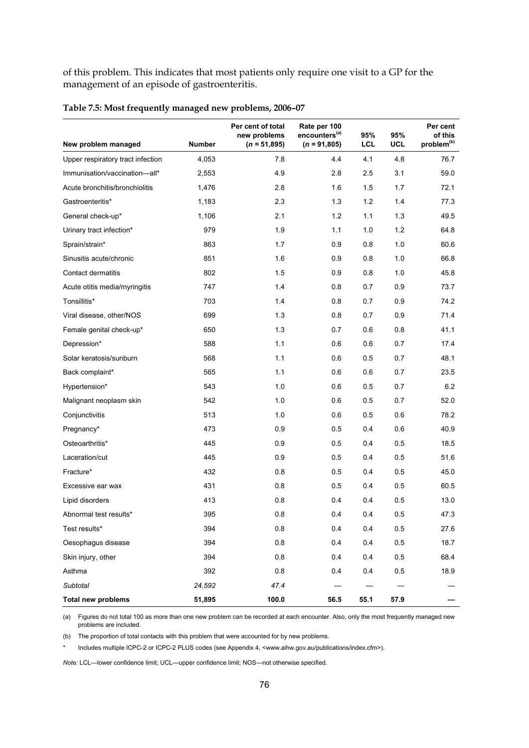of this problem. This indicates that most patients only require one visit to a GP for the management of an episode of gastroenteritis.

| New problem managed               | <b>Number</b> | Per cent of total<br>new problems<br>$(n = 51,895)$ | Rate per 100<br>encounters <sup>(a)</sup><br>$(n = 91,805)$ | 95%<br><b>LCL</b> | 95%<br>UCL | Per cent<br>of this<br>problem <sup>(b)</sup> |
|-----------------------------------|---------------|-----------------------------------------------------|-------------------------------------------------------------|-------------------|------------|-----------------------------------------------|
| Upper respiratory tract infection | 4,053         | 7.8                                                 | 4.4                                                         | 4.1               | 4.8        | 76.7                                          |
| Immunisation/vaccination-all*     |               |                                                     |                                                             |                   |            |                                               |
|                                   | 2,553         | 4.9                                                 | 2.8<br>1.6                                                  | 2.5               | 3.1        | 59.0                                          |
| Acute bronchitis/bronchiolitis    | 1,476         | 2.8                                                 |                                                             | 1.5               | 1.7        | 72.1                                          |
| Gastroenteritis*                  | 1,183         | 2.3                                                 | 1.3                                                         | 1.2               | 1.4        | 77.3                                          |
| General check-up*                 | 1,106         | 2.1                                                 | 1.2                                                         | 1.1               | 1.3        | 49.5                                          |
| Urinary tract infection*          | 979           | 1.9                                                 | 1.1                                                         | 1.0               | 1.2        | 64.8                                          |
| Sprain/strain*                    | 863           | 1.7                                                 | 0.9                                                         | 0.8               | 1.0        | 60.6                                          |
| Sinusitis acute/chronic           | 851           | 1.6                                                 | 0.9                                                         | 0.8               | 1.0        | 66.8                                          |
| Contact dermatitis                | 802           | 1.5                                                 | 0.9                                                         | 0.8               | 1.0        | 45.8                                          |
| Acute otitis media/myringitis     | 747           | 1.4                                                 | 0.8                                                         | 0.7               | 0.9        | 73.7                                          |
| Tonsillitis*                      | 703           | 1.4                                                 | 0.8                                                         | 0.7               | 0.9        | 74.2                                          |
| Viral disease, other/NOS          | 699           | 1.3                                                 | 0.8                                                         | 0.7               | 0.9        | 71.4                                          |
| Female genital check-up*          | 650           | 1.3                                                 | 0.7                                                         | 0.6               | 0.8        | 41.1                                          |
| Depression*                       | 588           | 1.1                                                 | 0.6                                                         | 0.6               | 0.7        | 17.4                                          |
| Solar keratosis/sunburn           | 568           | 1.1                                                 | 0.6                                                         | 0.5               | 0.7        | 48.1                                          |
| Back complaint*                   | 565           | 1.1                                                 | 0.6                                                         | 0.6               | 0.7        | 23.5                                          |
| Hypertension*                     | 543           | 1.0                                                 | 0.6                                                         | 0.5               | 0.7        | 6.2                                           |
| Malignant neoplasm skin           | 542           | 1.0                                                 | 0.6                                                         | 0.5               | 0.7        | 52.0                                          |
| Conjunctivitis                    | 513           | 1.0                                                 | 0.6                                                         | 0.5               | 0.6        | 78.2                                          |
| Pregnancy*                        | 473           | 0.9                                                 | 0.5                                                         | 0.4               | 0.6        | 40.9                                          |
| Osteoarthritis*                   | 445           | 0.9                                                 | 0.5                                                         | 0.4               | 0.5        | 18.5                                          |
| Laceration/cut                    | 445           | 0.9                                                 | 0.5                                                         | 0.4               | 0.5        | 51.6                                          |
| Fracture*                         | 432           | 0.8                                                 | 0.5                                                         | 0.4               | 0.5        | 45.0                                          |
| Excessive ear wax                 | 431           | 0.8                                                 | 0.5                                                         | 0.4               | 0.5        | 60.5                                          |
| Lipid disorders                   | 413           | 0.8                                                 | 0.4                                                         | 0.4               | 0.5        | 13.0                                          |
| Abnormal test results*            | 395           | 0.8                                                 | 0.4                                                         | 0.4               | 0.5        | 47.3                                          |
| Test results*                     | 394           | 0.8                                                 | 0.4                                                         | 0.4               | 0.5        | 27.6                                          |
| Oesophagus disease                | 394           | 0.8                                                 | 0.4                                                         | 0.4               | 0.5        | 18.7                                          |
| Skin injury, other                | 394           | 0.8                                                 | 0.4                                                         | 0.4               | 0.5        | 68.4                                          |
| Asthma                            | 392           | 0.8                                                 | 0.4                                                         | 0.4               | 0.5        | 18.9                                          |
| Subtotal                          | 24,592        | 47.4                                                |                                                             |                   |            |                                               |
| <b>Total new problems</b>         | 51,895        | 100.0                                               | 56.5                                                        | 55.1              | 57.9       |                                               |

#### **Table 7.5: Most frequently managed new problems, 2006–07**

(a) Figures do not total 100 as more than one new problem can be recorded at each encounter. Also, only the most frequently managed new problems are included.

(b) The proportion of total contacts with this problem that were accounted for by new problems.

Includes multiple ICPC-2 or ICPC-2 PLUS codes (see Appendix 4, <www.aihw.gov.au/publications/index.cfm>).

*Note:* LCL—lower confidence limit; UCL—upper confidence limit; NOS—not otherwise specified.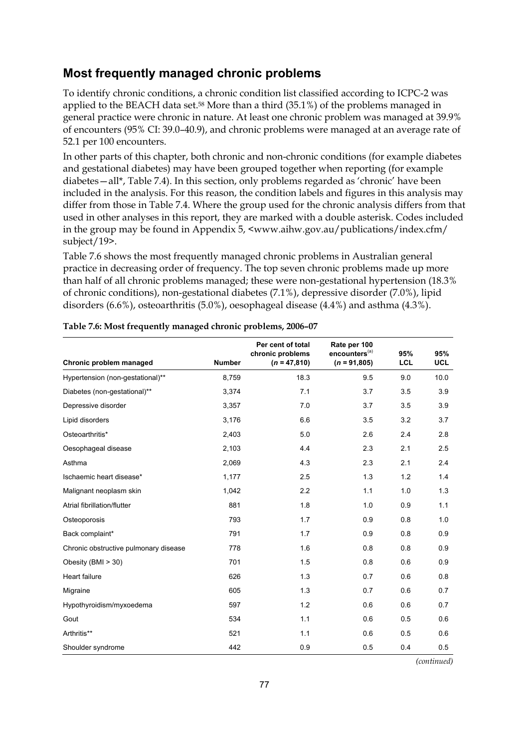# **Most frequently managed chronic problems**

To identify chronic conditions, a chronic condition list classified according to ICPC-2 was applied to the BEACH data set.58 More than a third (35.1%) of the problems managed in general practice were chronic in nature. At least one chronic problem was managed at 39.9% of encounters (95% CI: 39.0–40.9), and chronic problems were managed at an average rate of 52.1 per 100 encounters.

In other parts of this chapter, both chronic and non-chronic conditions (for example diabetes and gestational diabetes) may have been grouped together when reporting (for example diabetes—all\*, Table 7.4). In this section, only problems regarded as 'chronic' have been included in the analysis. For this reason, the condition labels and figures in this analysis may differ from those in Table 7.4. Where the group used for the chronic analysis differs from that used in other analyses in this report, they are marked with a double asterisk. Codes included in the group may be found in Appendix 5, <www.aihw.gov.au/publications/index.cfm/ subject/19>.

Table 7.6 shows the most frequently managed chronic problems in Australian general practice in decreasing order of frequency. The top seven chronic problems made up more than half of all chronic problems managed; these were non-gestational hypertension (18.3% of chronic conditions), non-gestational diabetes (7.1%), depressive disorder (7.0%), lipid disorders (6.6%), osteoarthritis (5.0%), oesophageal disease (4.4%) and asthma (4.3%).

| Chronic problem managed               | <b>Number</b> | Per cent of total<br>chronic problems<br>$(n = 47,810)$ | Rate per 100<br>encounters <sup>(a)</sup><br>$(n = 91,805)$ | 95%<br><b>LCL</b> | 95%<br><b>UCL</b> |
|---------------------------------------|---------------|---------------------------------------------------------|-------------------------------------------------------------|-------------------|-------------------|
| Hypertension (non-gestational)**      | 8,759         | 18.3                                                    | 9.5                                                         | 9.0               | 10.0              |
| Diabetes (non-gestational)**          | 3,374         | 7.1                                                     | 3.7                                                         | 3.5               | 3.9               |
| Depressive disorder                   | 3,357         | 7.0                                                     | 3.7                                                         | 3.5               | 3.9               |
| Lipid disorders                       | 3,176         | 6.6                                                     | 3.5                                                         | 3.2               | 3.7               |
| Osteoarthritis*                       | 2,403         | 5.0                                                     | 2.6                                                         | 2.4               | 2.8               |
| Oesophageal disease                   | 2,103         | 4.4                                                     | 2.3                                                         | 2.1               | 2.5               |
| Asthma                                | 2,069         | 4.3                                                     | 2.3                                                         | 2.1               | 2.4               |
| Ischaemic heart disease*              | 1,177         | 2.5                                                     | 1.3                                                         | 1.2               | 1.4               |
| Malignant neoplasm skin               | 1,042         | 2.2                                                     | 1.1                                                         | 1.0               | 1.3               |
| Atrial fibrillation/flutter           | 881           | 1.8                                                     | 1.0                                                         | 0.9               | 1.1               |
| Osteoporosis                          | 793           | 1.7                                                     | 0.9                                                         | 0.8               | 1.0               |
| Back complaint*                       | 791           | 1.7                                                     | 0.9                                                         | 0.8               | 0.9               |
| Chronic obstructive pulmonary disease | 778           | 1.6                                                     | 0.8                                                         | 0.8               | 0.9               |
| Obesity (BMI > 30)                    | 701           | 1.5                                                     | 0.8                                                         | 0.6               | 0.9               |
| <b>Heart failure</b>                  | 626           | 1.3                                                     | 0.7                                                         | 0.6               | 0.8               |
| Migraine                              | 605           | 1.3                                                     | 0.7                                                         | 0.6               | 0.7               |
| Hypothyroidism/myxoedema              | 597           | 1.2                                                     | 0.6                                                         | 0.6               | 0.7               |
| Gout                                  | 534           | 1.1                                                     | 0.6                                                         | 0.5               | 0.6               |
| Arthritis**                           | 521           | 1.1                                                     | 0.6                                                         | 0.5               | 0.6               |
| Shoulder syndrome                     | 442           | 0.9                                                     | 0.5                                                         | 0.4               | 0.5               |

**Table 7.6: Most frequently managed chronic problems, 2006–07**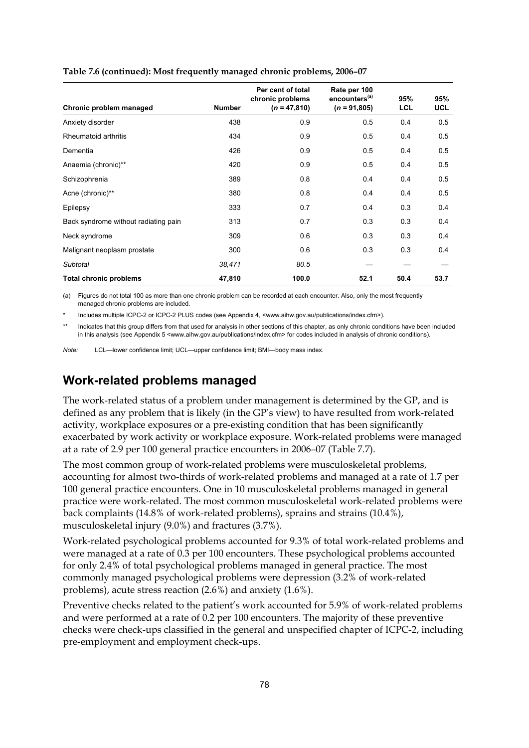| Chronic problem managed              | <b>Number</b> | Per cent of total<br>chronic problems<br>$(n = 47,810)$ | Rate per 100<br>encounters <sup>(a)</sup><br>$(n = 91,805)$ | 95%<br><b>LCL</b> | 95%<br><b>UCL</b> |
|--------------------------------------|---------------|---------------------------------------------------------|-------------------------------------------------------------|-------------------|-------------------|
| Anxiety disorder                     | 438           | 0.9                                                     | 0.5                                                         | 0.4               | 0.5               |
| Rheumatoid arthritis                 | 434           | 0.9                                                     | 0.5                                                         | 0.4               | 0.5               |
| Dementia                             | 426           | 0.9                                                     | 0.5                                                         | 0.4               | 0.5               |
| Anaemia (chronic)**                  | 420           | 0.9                                                     | 0.5                                                         | 0.4               | 0.5               |
| Schizophrenia                        | 389           | 0.8                                                     | 0.4                                                         | 0.4               | 0.5               |
| Acne (chronic)**                     | 380           | 0.8                                                     | 0.4                                                         | 0.4               | 0.5               |
| Epilepsy                             | 333           | 0.7                                                     | 0.4                                                         | 0.3               | 0.4               |
| Back syndrome without radiating pain | 313           | 0.7                                                     | 0.3                                                         | 0.3               | 0.4               |
| Neck syndrome                        | 309           | 0.6                                                     | 0.3                                                         | 0.3               | 0.4               |
| Malignant neoplasm prostate          | 300           | 0.6                                                     | 0.3                                                         | 0.3               | 0.4               |
| Subtotal                             | 38,471        | 80.5                                                    |                                                             |                   |                   |
| Total chronic problems               | 47,810        | 100.0                                                   | 52.1                                                        | 50.4              | 53.7              |

#### **Table 7.6 (continued): Most frequently managed chronic problems, 2006–07**

(a) Figures do not total 100 as more than one chronic problem can be recorded at each encounter. Also, only the most frequently managed chronic problems are included.

Includes multiple ICPC-2 or ICPC-2 PLUS codes (see Appendix 4, <www.aihw.gov.au/publications/index.cfm>).

Indicates that this group differs from that used for analysis in other sections of this chapter, as only chronic conditions have been included in this analysis (see Appendix 5 <www.aihw.gov.au/publications/index.cfm> for codes included in analysis of chronic conditions).

*Note:* LCL—lower confidence limit; UCL—upper confidence limit; BMI—body mass index.

### **Work-related problems managed**

The work-related status of a problem under management is determined by the GP, and is defined as any problem that is likely (in the GP's view) to have resulted from work-related activity, workplace exposures or a pre-existing condition that has been significantly exacerbated by work activity or workplace exposure. Work-related problems were managed at a rate of 2.9 per 100 general practice encounters in 2006–07 (Table 7.7).

The most common group of work-related problems were musculoskeletal problems, accounting for almost two-thirds of work-related problems and managed at a rate of 1.7 per 100 general practice encounters. One in 10 musculoskeletal problems managed in general practice were work-related. The most common musculoskeletal work-related problems were back complaints (14.8% of work-related problems), sprains and strains (10.4%), musculoskeletal injury (9.0%) and fractures (3.7%).

Work-related psychological problems accounted for 9.3% of total work-related problems and were managed at a rate of 0.3 per 100 encounters. These psychological problems accounted for only 2.4% of total psychological problems managed in general practice. The most commonly managed psychological problems were depression (3.2% of work-related problems), acute stress reaction (2.6%) and anxiety (1.6%).

Preventive checks related to the patient's work accounted for 5.9% of work-related problems and were performed at a rate of 0.2 per 100 encounters. The majority of these preventive checks were check-ups classified in the general and unspecified chapter of ICPC-2, including pre-employment and employment check-ups.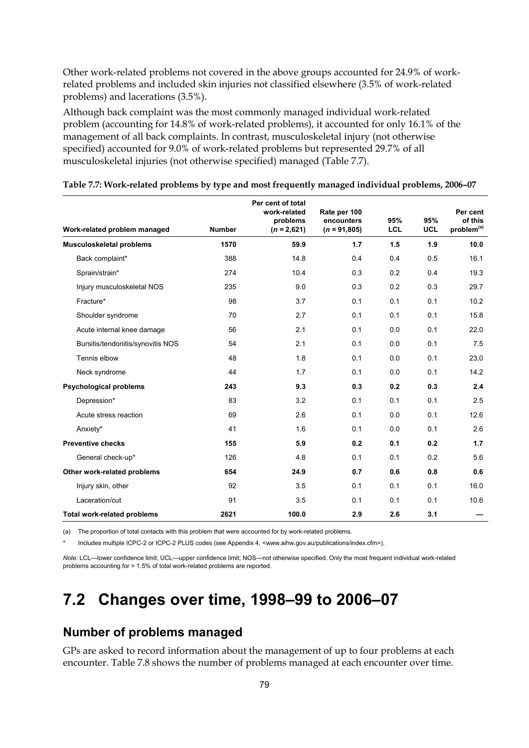Other work-related problems not covered in the above groups accounted for 24.9% of workrelated problems and included skin injuries not classified elsewhere (3.5% of work-related problems) and lacerations (3.5%).

Although back complaint was the most commonly managed individual work-related problem (accounting for 14.8% of work-related problems), it accounted for only 16.1% of the management of all back complaints. In contrast, musculoskeletal injury (not otherwise specified) accounted for 9.0% of work-related problems but represented 29.7% of all musculoskeletal injuries (not otherwise specified) managed (Table 7.7).

|                                    |               | Per cent of total<br>work-related<br>problems | Rate per 100<br>encounters | 95% | 95%        | Per cent<br>of this    |
|------------------------------------|---------------|-----------------------------------------------|----------------------------|-----|------------|------------------------|
| Work-related problem managed       | <b>Number</b> | $(n = 2,621)$                                 | $(n = 91,805)$             | LCL | <b>UCL</b> | problem <sup>(a)</sup> |
| <b>Musculoskeletal problems</b>    | 1570          | 59.9                                          | 1.7                        | 1.5 | 1.9        | 10.0                   |
| Back complaint*                    | 388           | 14.8                                          | 0.4                        | 0.4 | 0.5        | 16.1                   |
| Sprain/strain*                     | 274           | 10.4                                          | 0.3                        | 0.2 | 0.4        | 19.3                   |
| Injury musculoskeletal NOS         | 235           | 9.0                                           | 0.3                        | 0.2 | 0.3        | 29.7                   |
| Fracture*                          | 98            | 3.7                                           | 0.1                        | 0.1 | 0.1        | 10.2                   |
| Shoulder syndrome                  | 70            | 2.7                                           | 0.1                        | 0.1 | 0.1        | 15.8                   |
| Acute internal knee damage         | 56            | 2.1                                           | 0.1                        | 0.0 | 0.1        | 22.0                   |
| Bursitis/tendonitis/synovitis NOS  | 54            | 2.1                                           | 0.1                        | 0.0 | 0.1        | 7.5                    |
| Tennis elbow                       | 48            | 1.8                                           | 0.1                        | 0.0 | 0.1        | 23.0                   |
| Neck syndrome                      | 44            | 1.7                                           | 0.1                        | 0.0 | 0.1        | 14.2                   |
| <b>Psychological problems</b>      | 243           | 9.3                                           | 0.3                        | 0.2 | 0.3        | 2.4                    |
| Depression*                        | 83            | 3.2                                           | 0.1                        | 0.1 | 0.1        | 2.5                    |
| Acute stress reaction              | 69            | 2.6                                           | 0.1                        | 0.0 | 0.1        | 12.6                   |
| Anxiety*                           | 41            | 1.6                                           | 0.1                        | 0.0 | 0.1        | 2.6                    |
| <b>Preventive checks</b>           | 155           | 5.9                                           | 0.2                        | 0.1 | 0.2        | 1.7                    |
| General check-up*                  | 126           | 4.8                                           | 0.1                        | 0.1 | 0.2        | 5.6                    |
| Other work-related problems        | 654           | 24.9                                          | 0.7                        | 0.6 | 0.8        | 0.6                    |
| Injury skin, other                 | 92            | 3.5                                           | 0.1                        | 0.1 | 0.1        | 16.0                   |
| Laceration/cut                     | 91            | 3.5                                           | 0.1                        | 0.1 | 0.1        | 10.6                   |
| <b>Total work-related problems</b> | 2621          | 100.0                                         | 2.9                        | 2.6 | 3.1        |                        |

#### **Table 7.7: Work-related problems by type and most frequently managed individual problems, 2006–07**

(a) The proportion of total contacts with this problem that were accounted for by work-related problems.

Includes multiple ICPC-2 or ICPC-2 PLUS codes (see Appendix 4, <www.aihw.gov.au/publications/index.cfm>).

*Note:* LCL—lower confidence limit; UCL—upper confidence limit; NOS—not otherwise specified. Only the most frequent individual work-related problems accounting for > 1.5% of total work-related problems are reported.

# **7.2 Changes over time, 1998–99 to 2006–07**

### **Number of problems managed**

GPs are asked to record information about the management of up to four problems at each encounter. Table 7.8 shows the number of problems managed at each encounter over time.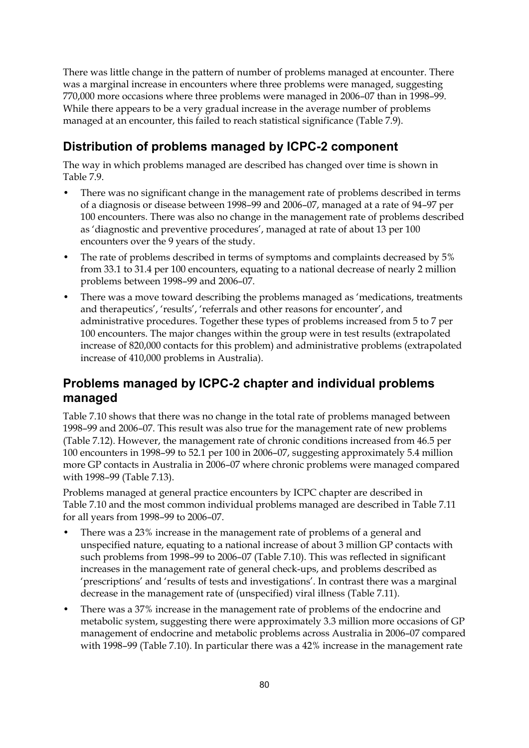There was little change in the pattern of number of problems managed at encounter. There was a marginal increase in encounters where three problems were managed, suggesting 770,000 more occasions where three problems were managed in 2006–07 than in 1998–99. While there appears to be a very gradual increase in the average number of problems managed at an encounter, this failed to reach statistical significance (Table 7.9).

# **Distribution of problems managed by ICPC-2 component**

The way in which problems managed are described has changed over time is shown in Table 7.9.

- There was no significant change in the management rate of problems described in terms of a diagnosis or disease between 1998–99 and 2006–07, managed at a rate of 94–97 per 100 encounters. There was also no change in the management rate of problems described as 'diagnostic and preventive procedures', managed at rate of about 13 per 100 encounters over the 9 years of the study.
- The rate of problems described in terms of symptoms and complaints decreased by 5% from 33.1 to 31.4 per 100 encounters, equating to a national decrease of nearly 2 million problems between 1998–99 and 2006–07.
- There was a move toward describing the problems managed as 'medications, treatments and therapeutics', 'results', 'referrals and other reasons for encounter', and administrative procedures. Together these types of problems increased from 5 to 7 per 100 encounters. The major changes within the group were in test results (extrapolated increase of 820,000 contacts for this problem) and administrative problems (extrapolated increase of 410,000 problems in Australia).

### **Problems managed by ICPC-2 chapter and individual problems managed**

Table 7.10 shows that there was no change in the total rate of problems managed between 1998–99 and 2006–07. This result was also true for the management rate of new problems (Table 7.12). However, the management rate of chronic conditions increased from 46.5 per 100 encounters in 1998–99 to 52.1 per 100 in 2006–07, suggesting approximately 5.4 million more GP contacts in Australia in 2006–07 where chronic problems were managed compared with 1998–99 (Table 7.13).

Problems managed at general practice encounters by ICPC chapter are described in Table 7.10 and the most common individual problems managed are described in Table 7.11 for all years from 1998–99 to 2006–07.

- There was a 23% increase in the management rate of problems of a general and unspecified nature, equating to a national increase of about 3 million GP contacts with such problems from 1998–99 to 2006–07 (Table 7.10). This was reflected in significant increases in the management rate of general check-ups, and problems described as 'prescriptions' and 'results of tests and investigations'. In contrast there was a marginal decrease in the management rate of (unspecified) viral illness (Table 7.11).
- There was a 37% increase in the management rate of problems of the endocrine and metabolic system, suggesting there were approximately 3.3 million more occasions of GP management of endocrine and metabolic problems across Australia in 2006–07 compared with 1998–99 (Table 7.10). In particular there was a 42% increase in the management rate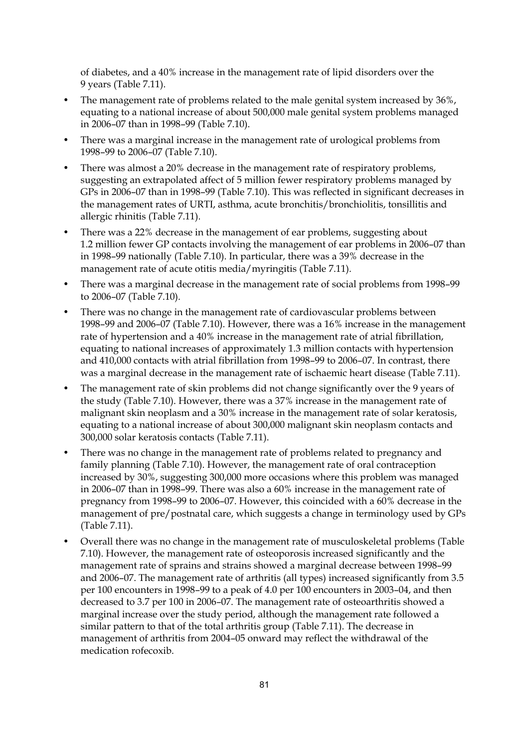of diabetes, and a 40% increase in the management rate of lipid disorders over the 9 years (Table 7.11).

- The management rate of problems related to the male genital system increased by 36%, equating to a national increase of about 500,000 male genital system problems managed in 2006–07 than in 1998–99 (Table 7.10).
- There was a marginal increase in the management rate of urological problems from 1998–99 to 2006–07 (Table 7.10).
- There was almost a 20% decrease in the management rate of respiratory problems, suggesting an extrapolated affect of 5 million fewer respiratory problems managed by GPs in 2006–07 than in 1998–99 (Table 7.10). This was reflected in significant decreases in the management rates of URTI, asthma, acute bronchitis/bronchiolitis, tonsillitis and allergic rhinitis (Table 7.11).
- There was a 22% decrease in the management of ear problems, suggesting about 1.2 million fewer GP contacts involving the management of ear problems in 2006–07 than in 1998–99 nationally (Table 7.10). In particular, there was a 39% decrease in the management rate of acute otitis media/myringitis (Table 7.11).
- There was a marginal decrease in the management rate of social problems from 1998–99 to 2006–07 (Table 7.10).
- There was no change in the management rate of cardiovascular problems between 1998–99 and 2006–07 (Table 7.10). However, there was a 16% increase in the management rate of hypertension and a 40% increase in the management rate of atrial fibrillation, equating to national increases of approximately 1.3 million contacts with hypertension and 410,000 contacts with atrial fibrillation from 1998–99 to 2006–07. In contrast, there was a marginal decrease in the management rate of ischaemic heart disease (Table 7.11).
- The management rate of skin problems did not change significantly over the 9 years of the study (Table 7.10). However, there was a 37% increase in the management rate of malignant skin neoplasm and a 30% increase in the management rate of solar keratosis, equating to a national increase of about 300,000 malignant skin neoplasm contacts and 300,000 solar keratosis contacts (Table 7.11).
- There was no change in the management rate of problems related to pregnancy and family planning (Table 7.10). However, the management rate of oral contraception increased by 30%, suggesting 300,000 more occasions where this problem was managed in 2006–07 than in 1998–99. There was also a 60% increase in the management rate of pregnancy from 1998–99 to 2006–07. However, this coincided with a 60% decrease in the management of pre/postnatal care, which suggests a change in terminology used by GPs (Table 7.11).
- Overall there was no change in the management rate of musculoskeletal problems (Table 7.10). However, the management rate of osteoporosis increased significantly and the management rate of sprains and strains showed a marginal decrease between 1998–99 and 2006–07. The management rate of arthritis (all types) increased significantly from 3.5 per 100 encounters in 1998–99 to a peak of 4.0 per 100 encounters in 2003–04, and then decreased to 3.7 per 100 in 2006–07. The management rate of osteoarthritis showed a marginal increase over the study period, although the management rate followed a similar pattern to that of the total arthritis group (Table 7.11). The decrease in management of arthritis from 2004–05 onward may reflect the withdrawal of the medication rofecoxib.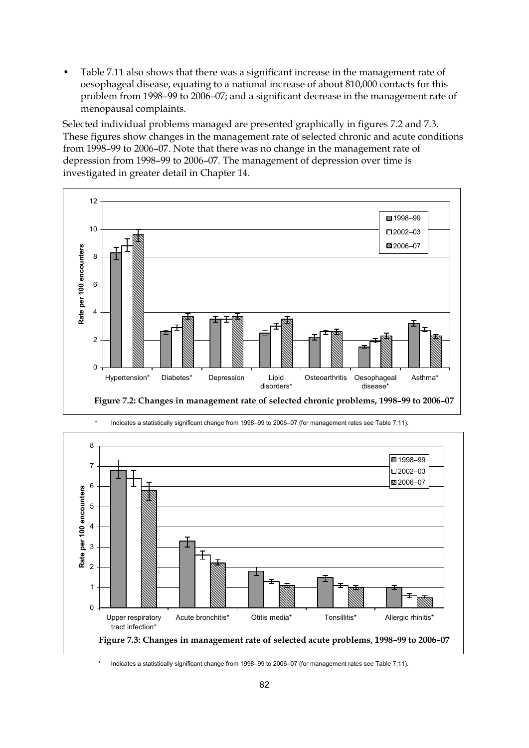• Table 7.11 also shows that there was a significant increase in the management rate of oesophageal disease, equating to a national increase of about 810,000 contacts for this problem from 1998–99 to 2006–07; and a significant decrease in the management rate of menopausal complaints.

Selected individual problems managed are presented graphically in figures 7.2 and 7.3. These figures show changes in the management rate of selected chronic and acute conditions from 1998–99 to 2006–07. Note that there was no change in the management rate of depression from 1998–99 to 2006–07. The management of depression over time is investigated in greater detail in Chapter 14.





\* Indicates a statistically significant change from 1998–99 to 2006–07 (for management rates see Table 7.11).

Indicates a statistically significant change from 1998–99 to 2006–07 (for management rates see Table 7.11).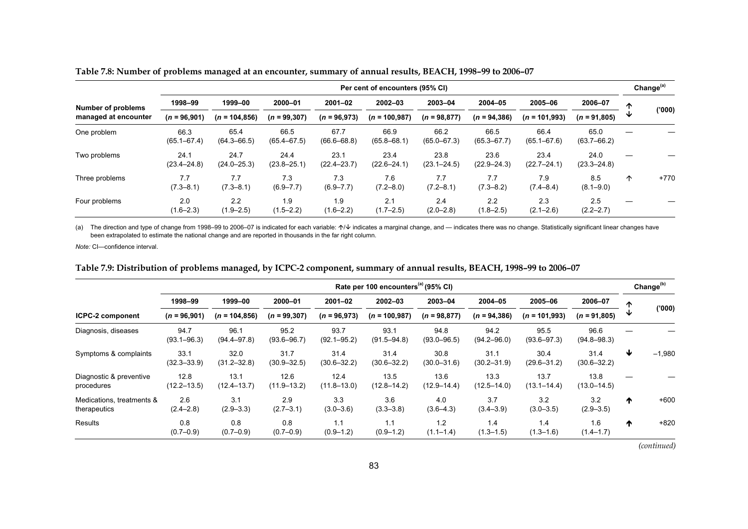|                           |                         | Per cent of encounters (95% CI) |                         |                         |                         |                         |                         |                         |                         |   |        |  |
|---------------------------|-------------------------|---------------------------------|-------------------------|-------------------------|-------------------------|-------------------------|-------------------------|-------------------------|-------------------------|---|--------|--|
| <b>Number of problems</b> | 1998-99                 | 1999-00                         | 2000-01                 | $2001 - 02$             | $2002 - 03$             | 2003-04                 | 2004-05                 | 2005-06                 | 2006-07                 | ∧ |        |  |
| managed at encounter      | $(n = 96,901)$          | $(n = 104, 856)$                | $(n = 99, 307)$         | $(n = 96,973)$          | $(n = 100, 987)$        | $(n = 98, 877)$         | $(n = 94, 386)$         | $(n = 101,993)$         | $(n = 91,805)$          |   | (000)' |  |
| One problem               | 66.3<br>$(65.1 - 67.4)$ | 65.4<br>$(64.3 - 66.5)$         | 66.5<br>$(65.4 - 67.5)$ | 67.7<br>$(66.6 - 68.8)$ | 66.9<br>$(65.8 - 68.1)$ | 66.2<br>$(65.0 - 67.3)$ | 66.5<br>$(65.3 - 67.7)$ | 66.4<br>$(65.1 - 67.6)$ | 65.0<br>$(63.7 - 66.2)$ |   |        |  |
| Two problems              | 24.1<br>$(23.4 - 24.8)$ | 24.7<br>$(24.0 - 25.3)$         | 24.4<br>$(23.8 - 25.1)$ | 23.1<br>$(22.4 - 23.7)$ | 23.4<br>$(22.6 - 24.1)$ | 23.8<br>$(23.1 - 24.5)$ | 23.6<br>$(22.9 - 24.3)$ | 23.4<br>$(22.7 - 24.1)$ | 24.0<br>$(23.3 - 24.8)$ |   |        |  |
| Three problems            | 7.7<br>$(7.3 - 8.1)$    | 7.7<br>$(7.3 - 8.1)$            | 7.3<br>$(6.9 - 7.7)$    | 7.3<br>$(6.9 - 7.7)$    | 7.6<br>$(7.2 - 8.0)$    | 7.7<br>$(7.2 - 8.1)$    | 7.7<br>$(7.3 - 8.2)$    | 7.9<br>$(7.4 - 8.4)$    | 8.5<br>$(8.1 - 9.0)$    | ∧ | $+770$ |  |
| Four problems             | 2.0<br>$(1.6 - 2.3)$    | 2.2<br>$(1.9 - 2.5)$            | 1.9<br>$(1.5 - 2.2)$    | 1.9<br>$(1.6 - 2.2)$    | 2.1<br>$(1.7 - 2.5)$    | 2.4<br>$(2.0 - 2.8)$    | 2.2<br>$(1.8 - 2.5)$    | 2.3<br>$(2.1 - 2.6)$    | 2.5<br>$(2.2 - 2.7)$    |   |        |  |

**Table 7.8: Number of problems managed at an encounter, summary of annual results, BEACH, 1998–99 to 2006–07** 

(a) The direction and type of change from 1998–99 to 2006–07 is indicated for each variable:  $\gamma\psi$  indicates a marginal change, and — indicates there was no change. Statistically significant linear changes have been extrapolated to estimate the national change and are reported in thousands in the far right column.

*Note:* CI—confidence interval.

**Table 7.9: Distribution of problems managed, by ICPC-2 component, summary of annual results, BEACH, 1998–99 to 2006–07** 

|                                           |                         | Rate per 100 encounters <sup>(a)</sup> (95% CI) |                         |                         |                         |                         |                         |                         |                         |                 |          |  |
|-------------------------------------------|-------------------------|-------------------------------------------------|-------------------------|-------------------------|-------------------------|-------------------------|-------------------------|-------------------------|-------------------------|-----------------|----------|--|
|                                           | 1998-99                 | 1999-00                                         | 2000-01                 | $2001 - 02$             | 2002-03                 | 2003-04                 | 2004-05                 | 2005-06                 | 2006-07                 | ᠰ               |          |  |
| <b>ICPC-2 component</b>                   | $(n = 96,901)$          | $(n = 104.856)$                                 | $(n = 99, 307)$         | $(n = 96,973)$          | $(n = 100, 987)$        | $(n = 98, 877)$         | $(n = 94, 386)$         | $(n = 101,993)$         | $(n = 91,805)$          | ◡               | (000)    |  |
| Diagnosis, diseases                       | 94.7<br>$(93.1 - 96.3)$ | 96.1<br>$(94.4 - 97.8)$                         | 95.2<br>$(93.6 - 96.7)$ | 93.7<br>$(92.1 - 95.2)$ | 93.1<br>$(91.5 - 94.8)$ | 94.8<br>$(93.0 - 96.5)$ | 94.2<br>$(94.2 - 96.0)$ | 95.5<br>$(93.6 - 97.3)$ | 96.6<br>$(94.8 - 98.3)$ |                 |          |  |
| Symptoms & complaints                     | 33.1<br>$(32.3 - 33.9)$ | 32.0<br>$(31.2 - 32.8)$                         | 31.7<br>$(30.9 - 32.5)$ | 31.4<br>$(30.6 - 32.2)$ | 31.4<br>$(30.6 - 32.2)$ | 30.8<br>$(30.0 - 31.6)$ | 31.1<br>$(30.2 - 31.9)$ | 30.4<br>$(29.6 - 31.2)$ | 31.4<br>$(30.6 - 32.2)$ | ₩               | $-1,980$ |  |
| Diagnostic & preventive<br>procedures     | 12.8<br>$(12.2 - 13.5)$ | 13.1<br>$(12.4 - 13.7)$                         | 12.6<br>$(11.9 - 13.2)$ | 12.4<br>$(11.8 - 13.0)$ | 13.5<br>$(12.8 - 14.2)$ | 13.6<br>$(12.9 - 14.4)$ | 13.3<br>$(12.5 - 14.0)$ | 13.7<br>$(13.1 - 14.4)$ | 13.8<br>$(13.0 - 14.5)$ |                 |          |  |
| Medications, treatments &<br>therapeutics | 2.6<br>$(2.4 - 2.8)$    | 3.1<br>$(2.9 - 3.3)$                            | 2.9<br>$(2.7 - 3.1)$    | 3.3<br>$(3.0 - 3.6)$    | 3.6<br>$(3.3 - 3.8)$    | 4.0<br>$(3.6 - 4.3)$    | 3.7<br>$(3.4 - 3.9)$    | 3.2<br>$(3.0 - 3.5)$    | 3.2<br>$(2.9 - 3.5)$    | $\blacklozenge$ | $+600$   |  |
| Results                                   | 0.8<br>$(0.7 - 0.9)$    | 0.8<br>$(0.7 - 0.9)$                            | 0.8<br>$(0.7 - 0.9)$    | 1.1<br>$(0.9 - 1.2)$    | 1.1<br>$(0.9 - 1.2)$    | 1.2<br>$(1.1 - 1.4)$    | 1.4<br>$(1.3 - 1.5)$    | 1.4<br>$(1.3 - 1.6)$    | 1.6<br>$(1.4 - 1.7)$    | ₼               | $+820$   |  |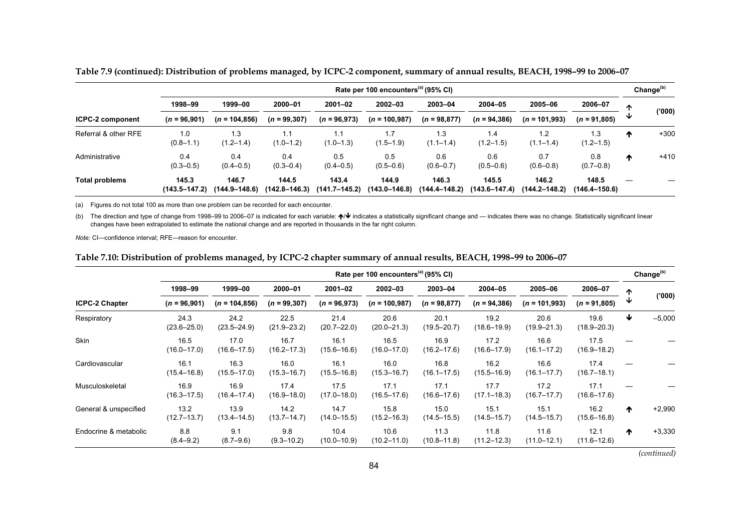|                         | Rate per 100 encounters <sup>(a)</sup> (95% CI) |                        |                            |                            |                        |                            |                            |                            |                            |   | Change <sup>(b)</sup> |
|-------------------------|-------------------------------------------------|------------------------|----------------------------|----------------------------|------------------------|----------------------------|----------------------------|----------------------------|----------------------------|---|-----------------------|
|                         | 1998-99                                         | 1999-00                | 2000-01                    | $2001 - 02$                | $2002 - 03$            | 2003-04                    | $2004 - 05$                | 2005-06                    | 2006-07                    | ́ |                       |
| <b>ICPC-2 component</b> | $(n = 96,901)$                                  | $(n = 104, 856)$       | $(n = 99, 307)$            | $(n = 96,973)$             | $(n = 100, 987)$       | $(n = 98, 877)$            | $(n = 94, 386)$            | $(n = 101,993)$            | $(n = 91,805)$             | ◡ | (000)'                |
| Referral & other RFE    | 1.0<br>$(0.8 - 1.1)$                            | 1.3<br>$(1.2 - 1.4)$   | 1.1<br>$(1.0 - 1.2)$       | $(1.0 - 1.3)$              | $(1.5 - 1.9)$          | 1.3<br>$(1.1 - 1.4)$       | 1.4<br>$(1.2 - 1.5)$       | 1.2<br>$(1.1 - 1.4)$       | 1.3<br>$(1.2 - 1.5)$       | ₼ | $+300$                |
| Administrative          | 0.4<br>$(0.3 - 0.5)$                            | 0.4<br>$(0.4 - 0.5)$   | 0.4<br>$(0.3 - 0.4)$       | 0.5<br>$(0.4 - 0.5)$       | 0.5<br>$(0.5 - 0.6)$   | 0.6<br>$(0.6 - 0.7)$       | 0.6<br>$(0.5 - 0.6)$       | 0.7<br>$(0.6 - 0.8)$       | 0.8<br>$(0.7 - 0.8)$       | ^ | $+410$                |
| <b>Total problems</b>   | 145.3<br>$(143.5 - 147.2)$                      | 146.7<br>(144.9–148.6) | 144.5<br>$(142.8 - 146.3)$ | 143.4<br>$(141.7 - 145.2)$ | 144.9<br>(143.0–146.8) | 146.3<br>$(144.4 - 148.2)$ | 145.5<br>$(143.6 - 147.4)$ | 146.2<br>$(144.2 - 148.2)$ | 148.5<br>$(146.4 - 150.6)$ |   |                       |

**Table 7.9 (continued): Distribution of problems managed, by ICPC-2 component, summary of annual results, BEACH, 1998–99 to 2006–07** 

(a) Figures do not total 100 as more than one problem can be recorded for each encounter.

(b) The direction and type of change from 1998–99 to 2006–07 is indicated for each variable: ↑ indicates a statistically significant change and — indicates there was no change. Statistically significant linear changes have been extrapolated to estimate the national change and are reported in thousands in the far right column.

*Note:* CI—confidence interval; RFE—reason for encounter.

#### **Table 7.10: Distribution of problems managed, by ICPC-2 chapter summary of annual results, BEACH, 1998–99 to 2006–07**

|                       |                         | Rate per 100 encounters <sup>(a)</sup> (95% CI) |                         |                         |                         |                         |                         |                         |                         |   |          |  |
|-----------------------|-------------------------|-------------------------------------------------|-------------------------|-------------------------|-------------------------|-------------------------|-------------------------|-------------------------|-------------------------|---|----------|--|
|                       | 1998-99                 | 1999-00                                         | 2000-01                 | $2001 - 02$             | 2002-03                 | 2003-04                 | 2004-05                 | 2005-06                 | 2006-07                 | ↑ |          |  |
| <b>ICPC-2 Chapter</b> | $(n = 96,901)$          | $(n = 104, 856)$                                | $(n = 99, 307)$         | $(n = 96,973)$          | $(n = 100, 987)$        | $(n = 98,877)$          | $(n = 94, 386)$         | $(n = 101,993)$         | $(n = 91,805)$          |   | (000)    |  |
| Respiratory           | 24.3<br>$(23.6 - 25.0)$ | 24.2<br>$(23.5 - 24.9)$                         | 22.5<br>$(21.9 - 23.2)$ | 21.4<br>$(20.7 - 22.0)$ | 20.6<br>$(20.0 - 21.3)$ | 20.1<br>$(19.5 - 20.7)$ | 19.2<br>$(18.6 - 19.9)$ | 20.6<br>$(19.9 - 21.3)$ | 19.6<br>$(18.9 - 20.3)$ | ₩ | $-5,000$ |  |
| Skin                  | 16.5<br>$(16.0 - 17.0)$ | 17.0<br>$(16.6 - 17.5)$                         | 16.7<br>$(16.2 - 17.3)$ | 16.1<br>$(15.6 - 16.6)$ | 16.5<br>$(16.0 - 17.0)$ | 16.9<br>$(16.2 - 17.6)$ | 17.2<br>$(16.6 - 17.9)$ | 16.6<br>$(16.1 - 17.2)$ | 17.5<br>$(16.9 - 18.2)$ |   |          |  |
| Cardiovascular        | 16.1<br>$(15.4 - 16.8)$ | 16.3<br>$(15.5 - 17.0)$                         | 16.0<br>(15.3–16.7)     | 16.1<br>$(15.5 - 16.8)$ | 16.0<br>$(15.3 - 16.7)$ | 16.8<br>$(16.1 - 17.5)$ | 16.2<br>$(15.5 - 16.9)$ | 16.6<br>$(16.1 - 17.7)$ | 17.4<br>$(16.7 - 18.1)$ |   |          |  |
| Musculoskeletal       | 16.9<br>$(16.3 - 17.5)$ | 16.9<br>$(16.4 - 17.4)$                         | 17.4<br>$(16.9 - 18.0)$ | 17.5<br>$(17.0 - 18.0)$ | 17.1<br>$(16.5 - 17.6)$ | 17.1<br>$(16.6 - 17.6)$ | 17.7<br>$(17.1 - 18.3)$ | 17.2<br>$(16.7 - 17.7)$ | 17.1<br>$(16.6 - 17.6)$ |   |          |  |
| General & unspecified | 13.2<br>$(12.7 - 13.7)$ | 13.9<br>$(13.4 - 14.5)$                         | 14.2<br>$(13.7 - 14.7)$ | 14.7<br>$(14.0 - 15.5)$ | 15.8<br>$(15.2 - 16.3)$ | 15.0<br>(14.5–15.5)     | 15.1<br>$(14.5 - 15.7)$ | 15.1<br>$(14.5 - 15.7)$ | 16.2<br>$(15.6 - 16.8)$ | ^ | $+2,990$ |  |
| Endocrine & metabolic | 8.8<br>$(8.4 - 9.2)$    | 9.1<br>$(8.7 - 9.6)$                            | 9.8<br>$(9.3 - 10.2)$   | 10.4<br>$(10.0 - 10.9)$ | 10.6<br>$(10.2 - 11.0)$ | 11.3<br>$(10.8 - 11.8)$ | 11.8<br>$(11.2 - 12.3)$ | 11.6<br>$(11.0 - 12.1)$ | 12.1<br>$(11.6 - 12.6)$ | ^ | $+3,330$ |  |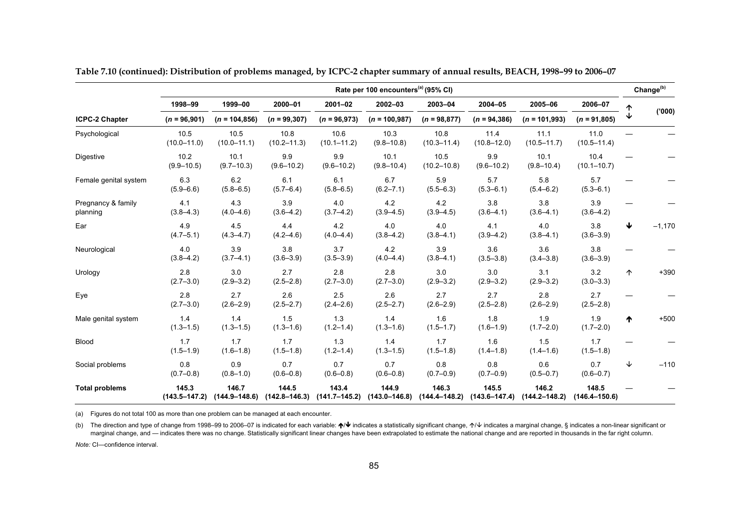|                                | Rate per 100 encounters <sup>(a)</sup> (95% CI) |                            |                            |                            |                            |                            |                            |                            |                            |            |          |
|--------------------------------|-------------------------------------------------|----------------------------|----------------------------|----------------------------|----------------------------|----------------------------|----------------------------|----------------------------|----------------------------|------------|----------|
|                                | 1998-99                                         | 1999-00                    | 2000-01                    | $2001 - 02$                | 2002-03                    | 2003-04                    | 2004-05                    | 2005-06                    | 2006-07                    |            |          |
| <b>ICPC-2 Chapter</b>          | $(n = 96,901)$                                  | $(n = 104, 856)$           | $(n = 99, 307)$            | $(n = 96,973)$             | $(n = 100, 987)$           | $(n = 98, 877)$            | $(n = 94, 386)$            | $(n = 101,993)$            | $(n = 91,805)$             | ↓          | (000)    |
| Psychological                  | 10.5<br>$(10.0 - 11.0)$                         | 10.5<br>$(10.0 - 11.1)$    | 10.8<br>$(10.2 - 11.3)$    | 10.6<br>$(10.1 - 11.2)$    | 10.3<br>$(9.8 - 10.8)$     | 10.8<br>$(10.3 - 11.4)$    | 11.4<br>$(10.8 - 12.0)$    | 11.1<br>$(10.5 - 11.7)$    | 11.0<br>$(10.5 - 11.4)$    |            |          |
| Digestive                      | 10.2<br>$(9.9 - 10.5)$                          | 10.1<br>$(9.7 - 10.3)$     | 9.9<br>$(9.6 - 10.2)$      | 9.9<br>$(9.6 - 10.2)$      | 10.1<br>$(9.8 - 10.4)$     | 10.5<br>$(10.2 - 10.8)$    | 9.9<br>$(9.6 - 10.2)$      | 10.1<br>$(9.8 - 10.4)$     | 10.4<br>$(10.1 - 10.7)$    |            |          |
| Female genital system          | 6.3<br>$(5.9 - 6.6)$                            | 6.2<br>$(5.8 - 6.5)$       | 6.1<br>$(5.7 - 6.4)$       | 6.1<br>$(5.8 - 6.5)$       | 6.7<br>$(6.2 - 7.1)$       | 5.9<br>$(5.5 - 6.3)$       | 5.7<br>$(5.3 - 6.1)$       | 5.8<br>$(5.4 - 6.2)$       | 5.7<br>$(5.3 - 6.1)$       |            |          |
| Pregnancy & family<br>planning | 4.1<br>$(3.8 - 4.3)$                            | 4.3<br>$(4.0 - 4.6)$       | 3.9<br>$(3.6 - 4.2)$       | 4.0<br>$(3.7 - 4.2)$       | 4.2<br>$(3.9 - 4.5)$       | 4.2<br>$(3.9 - 4.5)$       | 3.8<br>$(3.6 - 4.1)$       | 3.8<br>$(3.6 - 4.1)$       | 3.9<br>$(3.6 - 4.2)$       |            |          |
| Ear                            | 4.9<br>$(4.7 - 5.1)$                            | 45<br>$(4.3 - 4.7)$        | 4.4<br>$(4.2 - 4.6)$       | 4.2<br>$(4.0 - 4.4)$       | 4.0<br>$(3.8 - 4.2)$       | 4.0<br>$(3.8 - 4.1)$       | 4.1<br>$(3.9 - 4.2)$       | 4.0<br>$(3.8 - 4.1)$       | 3.8<br>$(3.6 - 3.9)$       | ↓          | $-1,170$ |
| Neurological                   | 4.0<br>$(3.8 - 4.2)$                            | 3.9<br>$(3.7 - 4.1)$       | 3.8<br>$(3.6 - 3.9)$       | 3.7<br>$(3.5 - 3.9)$       | 4.2<br>$(4.0 - 4.4)$       | 3.9<br>$(3.8 - 4.1)$       | 3.6<br>$(3.5 - 3.8)$       | 3.6<br>$(3.4 - 3.8)$       | 3.8<br>$(3.6 - 3.9)$       |            |          |
| Urology                        | 2.8<br>$(2.7 - 3.0)$                            | 3.0<br>$(2.9 - 3.2)$       | 2.7<br>$(2.5 - 2.8)$       | 2.8<br>$(2.7 - 3.0)$       | 2.8<br>$(2.7 - 3.0)$       | 3.0<br>$(2.9 - 3.2)$       | 3.0<br>$(2.9 - 3.2)$       | 3.1<br>$(2.9 - 3.2)$       | 3.2<br>$(3.0 - 3.3)$       | $\uparrow$ | $+390$   |
| Eye                            | 2.8<br>$(2.7 - 3.0)$                            | 2.7<br>$(2.6 - 2.9)$       | 2.6<br>$(2.5 - 2.7)$       | 2.5<br>$(2.4 - 2.6)$       | 2.6<br>$(2.5 - 2.7)$       | 2.7<br>$(2.6 - 2.9)$       | 2.7<br>$(2.5 - 2.8)$       | 2.8<br>$(2.6 - 2.9)$       | 2.7<br>$(2.5 - 2.8)$       |            |          |
| Male genital system            | 1.4<br>$(1.3 - 1.5)$                            | 1.4<br>$(1.3 - 1.5)$       | 1.5<br>$(1.3 - 1.6)$       | 1.3<br>$(1.2 - 1.4)$       | 1.4<br>$(1.3 - 1.6)$       | 1.6<br>$(1.5 - 1.7)$       | 1.8<br>$(1.6 - 1.9)$       | 1.9<br>$(1.7 - 2.0)$       | 1.9<br>$(1.7 - 2.0)$       | ᠰ          | $+500$   |
| <b>Blood</b>                   | 1.7<br>$(1.5 - 1.9)$                            | 1.7<br>$(1.6 - 1.8)$       | 1.7<br>$(1.5 - 1.8)$       | 1.3<br>$(1.2 - 1.4)$       | 1.4<br>$(1.3 - 1.5)$       | 1.7<br>$(1.5 - 1.8)$       | 1.6<br>$(1.4 - 1.8)$       | 1.5<br>$(1.4 - 1.6)$       | 1.7<br>$(1.5 - 1.8)$       |            |          |
| Social problems                | 0.8<br>$(0.7 - 0.8)$                            | 0.9<br>$(0.8 - 1.0)$       | 0.7<br>$(0.6 - 0.8)$       | 0.7<br>$(0.6 - 0.8)$       | 0.7<br>$(0.6 - 0.8)$       | 0.8<br>$(0.7 - 0.9)$       | 0.8<br>$(0.7 - 0.9)$       | 0.6<br>$(0.5 - 0.7)$       | 0.7<br>$(0.6 - 0.7)$       | ↓          | $-110$   |
| <b>Total problems</b>          | 145.3<br>$(143.5 - 147.2)$                      | 146.7<br>$(144.9 - 148.6)$ | 144.5<br>$(142.8 - 146.3)$ | 143.4<br>$(141.7 - 145.2)$ | 144.9<br>$(143.0 - 146.8)$ | 146.3<br>$(144.4 - 148.2)$ | 145.5<br>$(143.6 - 147.4)$ | 146.2<br>$(144.2 - 148.2)$ | 148.5<br>$(146.4 - 150.6)$ |            |          |

**Table 7.10 (continued): Distribution of problems managed, by ICPC-2 chapter summary of annual results, BEACH, 1998–99 to 2006–07** 

(a) Figures do not total 100 as more than one problem can be managed at each encounter.

(b) The direction and type of change from 1998–99 to 2006–07 is indicated for each variable: ↑ indicates a statistically significant change, ↑ indicates a marginal change, § indicates a non-linear significant or marginal change, and — indicates there was no change. Statistically significant linear changes have been extrapolated to estimate the national change and are reported in thousands in the far right column.

*Note:* CI—confidence interval.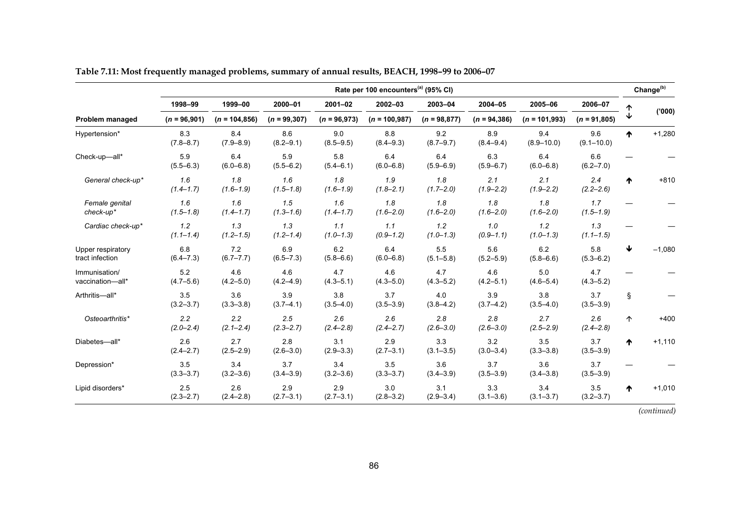|                                      | Rate per 100 encounters <sup>(a)</sup> (95% CI) |                      |                      |                      |                      |                      |                      |                       |                       |   |          |
|--------------------------------------|-------------------------------------------------|----------------------|----------------------|----------------------|----------------------|----------------------|----------------------|-----------------------|-----------------------|---|----------|
|                                      | 1998-99                                         | 1999-00              | 2000-01              | $2001 - 02$          | 2002-03              | 2003-04              | 2004-05              | 2005-06               | 2006-07               |   |          |
| <b>Problem managed</b>               | $(n = 96,901)$                                  | $(n = 104, 856)$     | $(n = 99, 307)$      | $(n = 96,973)$       | $(n = 100, 987)$     | $(n = 98, 877)$      | $(n = 94, 386)$      | $(n = 101,993)$       | $(n = 91,805)$        | ↓ | (000)    |
| Hypertension*                        | 8.3<br>$(7.8 - 8.7)$                            | 8.4<br>$(7.9 - 8.9)$ | 8.6<br>$(8.2 - 9.1)$ | 9.0<br>$(8.5 - 9.5)$ | 8.8<br>$(8.4 - 9.3)$ | 9.2<br>$(8.7 - 9.7)$ | 8.9<br>$(8.4 - 9.4)$ | 9.4<br>$(8.9 - 10.0)$ | 9.6<br>$(9.1 - 10.0)$ | ₼ | $+1,280$ |
| Check-up-all*                        | 5.9<br>$(5.5 - 6.3)$                            | 6.4<br>$(6.0 - 6.8)$ | 5.9<br>$(5.5 - 6.2)$ | 5.8<br>$(5.4 - 6.1)$ | 6.4<br>$(6.0 - 6.8)$ | 6.4<br>$(5.9 - 6.9)$ | 6.3<br>$(5.9 - 6.7)$ | 6.4<br>$(6.0 - 6.8)$  | 6.6<br>$(6.2 - 7.0)$  |   |          |
| General check-up*                    | 1.6<br>$(1.4 - 1.7)$                            | 1.8<br>$(1.6 - 1.9)$ | 1.6<br>$(1.5 - 1.8)$ | 1.8<br>$(1.6 - 1.9)$ | 1.9<br>$(1.8 - 2.1)$ | 1.8<br>$(1.7 - 2.0)$ | 2.1<br>$(1.9 - 2.2)$ | 2.1<br>$(1.9 - 2.2)$  | 2.4<br>$(2.2 - 2.6)$  | ₼ | $+810$   |
| Female genital<br>check-up*          | 1.6<br>$(1.5 - 1.8)$                            | 1.6<br>$(1.4 - 1.7)$ | 1.5<br>$(1.3 - 1.6)$ | 1.6<br>$(1.4 - 1.7)$ | 1.8<br>$(1.6 - 2.0)$ | 1.8<br>$(1.6 - 2.0)$ | 1.8<br>$(1.6 - 2.0)$ | 1.8<br>$(1.6 - 2.0)$  | 1.7<br>$(1.5 - 1.9)$  |   |          |
| Cardiac check-up*                    | 1.2<br>$(1.1 - 1.4)$                            | 1.3<br>$(1.2 - 1.5)$ | 1.3<br>$(1.2 - 1.4)$ | 1.1<br>$(1.0 - 1.3)$ | 1.1<br>$(0.9 - 1.2)$ | 1.2<br>$(1.0 - 1.3)$ | 1.0<br>$(0.9 - 1.1)$ | 1.2<br>$(1.0 - 1.3)$  | 1.3<br>$(1.1 - 1.5)$  |   |          |
| Upper respiratory<br>tract infection | 6.8<br>$(6.4 - 7.3)$                            | 7.2<br>$(6.7 - 7.7)$ | 6.9<br>$(6.5 - 7.3)$ | 6.2<br>$(5.8 - 6.6)$ | 6.4<br>$(6.0 - 6.8)$ | 5.5<br>$(5.1 - 5.8)$ | 5.6<br>$(5.2 - 5.9)$ | 6.2<br>$(5.8 - 6.6)$  | 5.8<br>$(5.3 - 6.2)$  | ₩ | $-1,080$ |
| Immunisation/<br>vaccination-all*    | 5.2<br>$(4.7 - 5.6)$                            | 4.6<br>$(4.2 - 5.0)$ | 4.6<br>$(4.2 - 4.9)$ | 4.7<br>$(4.3 - 5.1)$ | 4.6<br>$(4.3 - 5.0)$ | 4.7<br>$(4.3 - 5.2)$ | 4.6<br>$(4.2 - 5.1)$ | 5.0<br>$(4.6 - 5.4)$  | 4.7<br>$(4.3 - 5.2)$  |   |          |
| Arthritis-all*                       | 3.5<br>$(3.2 - 3.7)$                            | 3.6<br>$(3.3 - 3.8)$ | 3.9<br>$(3.7 - 4.1)$ | 3.8<br>$(3.5 - 4.0)$ | 3.7<br>$(3.5 - 3.9)$ | 4.0<br>$(3.8 - 4.2)$ | 3.9<br>$(3.7 - 4.2)$ | 3.8<br>$(3.5 - 4.0)$  | 3.7<br>$(3.5 - 3.9)$  | ş |          |
| Osteoarthritis*                      | 2.2<br>$(2.0 - 2.4)$                            | 2.2<br>$(2.1 - 2.4)$ | 2.5<br>$(2.3 - 2.7)$ | 2.6<br>$(2.4 - 2.8)$ | 2.6<br>$(2.4 - 2.7)$ | 2.8<br>$(2.6 - 3.0)$ | 2.8<br>$(2.6 - 3.0)$ | 2.7<br>$(2.5 - 2.9)$  | 2.6<br>$(2.4 - 2.8)$  | 个 | $+400$   |
| Diabetes-all*                        | 2.6<br>$(2.4 - 2.7)$                            | 2.7<br>$(2.5 - 2.9)$ | 2.8<br>$(2.6 - 3.0)$ | 3.1<br>$(2.9 - 3.3)$ | 2.9<br>$(2.7 - 3.1)$ | 3.3<br>$(3.1 - 3.5)$ | 3.2<br>$(3.0 - 3.4)$ | 3.5<br>$(3.3 - 3.8)$  | 3.7<br>$(3.5 - 3.9)$  | ₼ | $+1,110$ |
| Depression*                          | 3.5<br>$(3.3 - 3.7)$                            | 3.4<br>$(3.2 - 3.6)$ | 3.7<br>$(3.4 - 3.9)$ | 3.4<br>$(3.2 - 3.6)$ | 3.5<br>$(3.3 - 3.7)$ | 3.6<br>$(3.4 - 3.9)$ | 3.7<br>$(3.5 - 3.9)$ | 3.6<br>$(3.4 - 3.8)$  | 3.7<br>$(3.5 - 3.9)$  |   |          |
| Lipid disorders*                     | 2.5<br>$(2.3 - 2.7)$                            | 2.6<br>$(2.4 - 2.8)$ | 2.9<br>$(2.7 - 3.1)$ | 2.9<br>$(2.7 - 3.1)$ | 3.0<br>$(2.8 - 3.2)$ | 3.1<br>$(2.9 - 3.4)$ | 3.3<br>$(3.1 - 3.6)$ | 3.4<br>$(3.1 - 3.7)$  | 3.5<br>$(3.2 - 3.7)$  | ᠰ | $+1,010$ |

**Table 7.11: Most frequently managed problems, summary of annual results, BEACH, 1998–99 to 2006–07**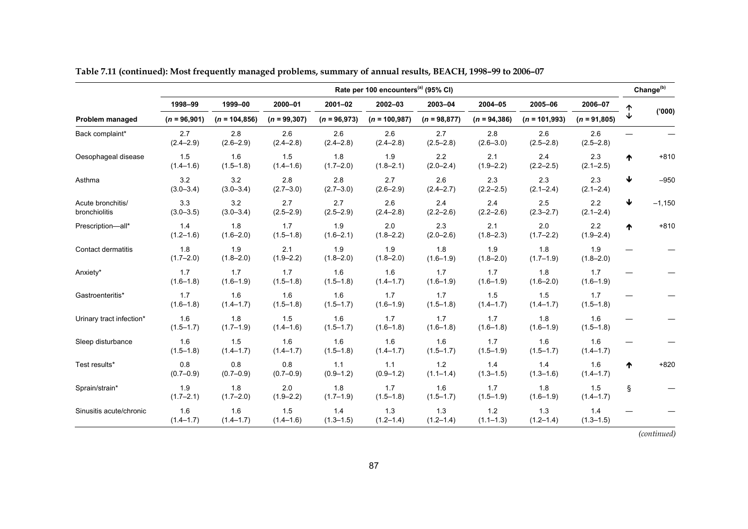|                                    | Rate per 100 encounters <sup>(a)</sup> (95% CI) |                      |                      |                      |                      |                        |                        |                      |                      |   |          |  |
|------------------------------------|-------------------------------------------------|----------------------|----------------------|----------------------|----------------------|------------------------|------------------------|----------------------|----------------------|---|----------|--|
|                                    | 1998-99                                         | 1999-00              | 2000-01              | $2001 - 02$          | $2002 - 03$          | 2003-04                | 2004-05                | 2005-06              | 2006-07              |   |          |  |
| Problem managed                    | $(n = 96,901)$                                  | $(n = 104, 856)$     | $(n = 99, 307)$      | $(n = 96,973)$       | $(n = 100, 987)$     | $(n = 98,877)$         | $(n = 94, 386)$        | $(n = 101,993)$      | $(n = 91,805)$       |   | (000)'   |  |
| Back complaint*                    | 2.7<br>$(2.4 - 2.9)$                            | 2.8<br>$(2.6 - 2.9)$ | 2.6<br>$(2.4 - 2.8)$ | 2.6<br>$(2.4 - 2.8)$ | 2.6<br>$(2.4 - 2.8)$ | 2.7<br>$(2.5 - 2.8)$   | 2.8<br>$(2.6 - 3.0)$   | 2.6<br>$(2.5 - 2.8)$ | 2.6<br>$(2.5 - 2.8)$ |   |          |  |
| Oesophageal disease                | 1.5<br>$(1.4 - 1.6)$                            | 1.6<br>$(1.5 - 1.8)$ | 1.5<br>$(1.4 - 1.6)$ | 1.8<br>$(1.7 - 2.0)$ | 1.9<br>$(1.8 - 2.1)$ | 2.2<br>$(2.0 - 2.4)$   | 2.1<br>$(1.9 - 2.2)$   | 2.4<br>$(2.2 - 2.5)$ | 2.3<br>$(2.1 - 2.5)$ | ᠰ | $+810$   |  |
| Asthma                             | 3.2<br>$(3.0 - 3.4)$                            | 3.2<br>$(3.0 - 3.4)$ | 2.8<br>$(2.7 - 3.0)$ | 2.8<br>$(2.7 - 3.0)$ | 2.7<br>$(2.6 - 2.9)$ | 2.6<br>$(2.4 - 2.7)$   | 2.3<br>$(2.2 - 2.5)$   | 2.3<br>$(2.1 - 2.4)$ | 2.3<br>$(2.1 - 2.4)$ | ↓ | $-950$   |  |
| Acute bronchitis/<br>bronchiolitis | 3.3<br>$(3.0 - 3.5)$                            | 3.2<br>$(3.0 - 3.4)$ | 2.7<br>$(2.5 - 2.9)$ | 2.7<br>$(2.5 - 2.9)$ | 2.6<br>$(2.4 - 2.8)$ | 2.4<br>$(2.2 - 2.6)$   | 2.4<br>$(2.2 - 2.6)$   | 2.5<br>$(2.3 - 2.7)$ | 2.2<br>$(2.1 - 2.4)$ | ↓ | $-1,150$ |  |
| Prescription-all*                  | 1.4<br>$(1.2 - 1.6)$                            | 1.8<br>$(1.6 - 2.0)$ | 1.7<br>$(1.5 - 1.8)$ | 1.9<br>$(1.6 - 2.1)$ | 2.0<br>$(1.8 - 2.2)$ | 2.3<br>$(2.0 - 2.6)$   | 2.1<br>$(1.8 - 2.3)$   | 2.0<br>$(1.7 - 2.2)$ | 2.2<br>$(1.9 - 2.4)$ | ♠ | $+810$   |  |
| Contact dermatitis                 | 1.8<br>$(1.7 - 2.0)$                            | 1.9<br>$(1.8 - 2.0)$ | 2.1<br>$(1.9 - 2.2)$ | 1.9<br>$(1.8 - 2.0)$ | 1.9<br>$(1.8 - 2.0)$ | 1.8<br>$(1.6 - 1.9)$   | 1.9<br>$(1.8 - 2.0)$   | 1.8<br>$(1.7 - 1.9)$ | 1.9<br>$(1.8 - 2.0)$ |   |          |  |
| Anxiety*                           | 1.7<br>$(1.6 - 1.8)$                            | 1.7<br>$(1.6 - 1.9)$ | 1.7<br>$(1.5 - 1.8)$ | 1.6<br>$(1.5 - 1.8)$ | 1.6<br>$(1.4 - 1.7)$ | 1.7<br>$(1.6 - 1.9)$   | 1.7<br>$(1.6 - 1.9)$   | 1.8<br>$(1.6 - 2.0)$ | 1.7<br>$(1.6 - 1.9)$ |   |          |  |
| Gastroenteritis*                   | 1.7<br>$(1.6 - 1.8)$                            | 1.6<br>$(1.4 - 1.7)$ | 1.6<br>$(1.5 - 1.8)$ | 1.6<br>$(1.5 - 1.7)$ | 1.7<br>$(1.6 - 1.9)$ | 1.7<br>$(1.5 - 1.8)$   | 1.5<br>$(1.4 - 1.7)$   | 1.5<br>$(1.4 - 1.7)$ | 1.7<br>$(1.5 - 1.8)$ |   |          |  |
| Urinary tract infection*           | 1.6<br>$(1.5 - 1.7)$                            | 1.8<br>$(1.7 - 1.9)$ | 1.5<br>$(1.4 - 1.6)$ | 1.6<br>$(1.5 - 1.7)$ | 1.7<br>$(1.6 - 1.8)$ | 1.7<br>$(1.6 - 1.8)$   | 1.7<br>$(1.6 - 1.8)$   | 1.8<br>$(1.6 - 1.9)$ | 1.6<br>$(1.5 - 1.8)$ |   |          |  |
| Sleep disturbance                  | 1.6<br>$(1.5 - 1.8)$                            | 1.5<br>$(1.4 - 1.7)$ | 1.6<br>$(1.4 - 1.7)$ | 1.6<br>$(1.5 - 1.8)$ | 1.6<br>$(1.4 - 1.7)$ | 1.6<br>$(1.5 - 1.7)$   | 1.7<br>$(1.5 - 1.9)$   | 1.6<br>$(1.5 - 1.7)$ | 1.6<br>$(1.4 - 1.7)$ |   |          |  |
| Test results*                      | 0.8<br>$(0.7 - 0.9)$                            | 0.8<br>$(0.7 - 0.9)$ | 0.8<br>$(0.7 - 0.9)$ | 1.1<br>$(0.9 - 1.2)$ | 1.1<br>$(0.9 - 1.2)$ | $1.2$<br>$(1.1 - 1.4)$ | 1.4<br>$(1.3 - 1.5)$   | 1.4<br>$(1.3 - 1.6)$ | 1.6<br>$(1.4 - 1.7)$ | ₼ | $+820$   |  |
| Sprain/strain*                     | 1.9<br>$(1.7 - 2.1)$                            | 1.8<br>$(1.7 - 2.0)$ | 2.0<br>$(1.9 - 2.2)$ | 1.8<br>$(1.7 - 1.9)$ | 1.7<br>$(1.5 - 1.8)$ | 1.6<br>$(1.5 - 1.7)$   | 1.7<br>$(1.5 - 1.9)$   | 1.8<br>$(1.6 - 1.9)$ | 1.5<br>$(1.4 - 1.7)$ | ş |          |  |
| Sinusitis acute/chronic            | 1.6<br>$(1.4 - 1.7)$                            | 1.6<br>$(1.4 - 1.7)$ | 1.5<br>$(1.4 - 1.6)$ | 1.4<br>$(1.3 - 1.5)$ | 1.3<br>$(1.2 - 1.4)$ | 1.3<br>$(1.2 - 1.4)$   | $1.2$<br>$(1.1 - 1.3)$ | 1.3<br>$(1.2 - 1.4)$ | 1.4<br>$(1.3 - 1.5)$ |   |          |  |

**Table 7.11 (continued): Most frequently managed problems, summary of annual results, BEACH, 1998–99 to 2006–07**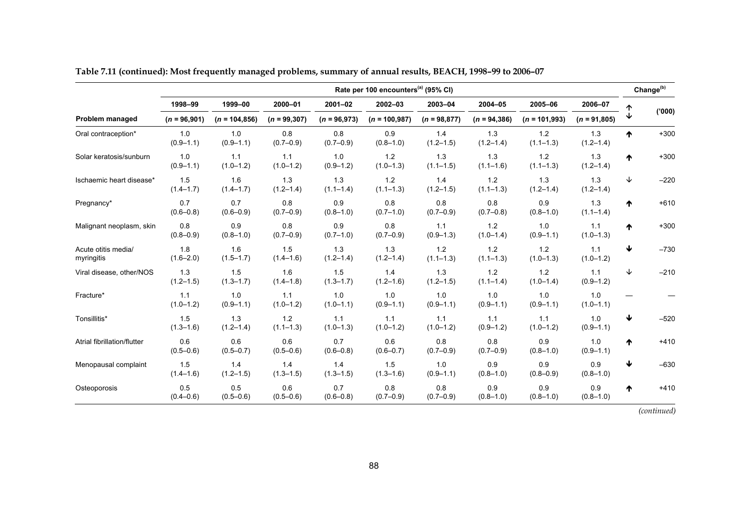|                                   | Rate per 100 encounters <sup>(a)</sup> (95% CI) |                      |                      |                      |                        |                      |                        |                      |                      |   |                       |
|-----------------------------------|-------------------------------------------------|----------------------|----------------------|----------------------|------------------------|----------------------|------------------------|----------------------|----------------------|---|-----------------------|
|                                   | 1998-99                                         | 1999-00              | 2000-01              | $2001 - 02$          | 2002-03                | 2003-04              | 2004-05                | 2005-06              | 2006-07              |   | Change <sup>(b)</sup> |
| Problem managed                   | $(n = 96,901)$                                  | $(n = 104, 856)$     | $(n = 99, 307)$      | $(n = 96,973)$       | $(n = 100, 987)$       | $(n = 98, 877)$      | $(n = 94, 386)$        | $(n = 101,993)$      | $(n = 91,805)$       |   | (000)'                |
| Oral contraception*               | 1.0<br>$(0.9 - 1.1)$                            | 1.0<br>$(0.9 - 1.1)$ | 0.8<br>$(0.7 - 0.9)$ | 0.8<br>$(0.7 - 0.9)$ | 0.9<br>$(0.8 - 1.0)$   | 1.4<br>$(1.2 - 1.5)$ | 1.3<br>$(1.2 - 1.4)$   | 1.2<br>$(1.1 - 1.3)$ | 1.3<br>$(1.2 - 1.4)$ | ₼ | $+300$                |
| Solar keratosis/sunburn           | 1.0<br>$(0.9 - 1.1)$                            | 1.1<br>$(1.0 - 1.2)$ | 1.1<br>$(1.0 - 1.2)$ | 1.0<br>$(0.9 - 1.2)$ | 1.2<br>$(1.0 - 1.3)$   | 1.3<br>$(1.1 - 1.5)$ | 1.3<br>$(1.1 - 1.6)$   | 1.2<br>$(1.1 - 1.3)$ | 1.3<br>$(1.2 - 1.4)$ | ᠰ | $+300$                |
| Ischaemic heart disease*          | 1.5<br>$(1.4 - 1.7)$                            | 1.6<br>$(1.4 - 1.7)$ | 1.3<br>$(1.2 - 1.4)$ | 1.3<br>$(1.1 - 1.4)$ | $1.2$<br>$(1.1 - 1.3)$ | 1.4<br>$(1.2 - 1.5)$ | 1.2<br>$(1.1 - 1.3)$   | 1.3<br>$(1.2 - 1.4)$ | 1.3<br>$(1.2 - 1.4)$ | ↓ | $-220$                |
| Pregnancy*                        | 0.7<br>$(0.6 - 0.8)$                            | 0.7<br>$(0.6 - 0.9)$ | 0.8<br>$(0.7 - 0.9)$ | 0.9<br>$(0.8 - 1.0)$ | 0.8<br>$(0.7 - 1.0)$   | 0.8<br>$(0.7 - 0.9)$ | 0.8<br>$(0.7 - 0.8)$   | 0.9<br>$(0.8 - 1.0)$ | 1.3<br>$(1.1 - 1.4)$ | ₼ | $+610$                |
| Malignant neoplasm, skin          | 0.8<br>$(0.8 - 0.9)$                            | 0.9<br>$(0.8 - 1.0)$ | 0.8<br>$(0.7 - 0.9)$ | 0.9<br>$(0.7 - 1.0)$ | 0.8<br>$(0.7 - 0.9)$   | 1.1<br>$(0.9 - 1.3)$ | 1.2<br>$(1.0 - 1.4)$   | 1.0<br>$(0.9 - 1.1)$ | 1.1<br>$(1.0 - 1.3)$ | ↑ | $+300$                |
| Acute otitis media/<br>myringitis | 1.8<br>$(1.6 - 2.0)$                            | 1.6<br>$(1.5 - 1.7)$ | 1.5<br>$(1.4 - 1.6)$ | 1.3<br>$(1.2 - 1.4)$ | 1.3<br>$(1.2 - 1.4)$   | 1.2<br>$(1.1 - 1.3)$ | $1.2$<br>$(1.1 - 1.3)$ | 1.2<br>$(1.0 - 1.3)$ | 1.1<br>$(1.0 - 1.2)$ | ↓ | $-730$                |
| Viral disease, other/NOS          | 1.3<br>$(1.2 - 1.5)$                            | 1.5<br>$(1.3 - 1.7)$ | 1.6<br>$(1.4 - 1.8)$ | 1.5<br>$(1.3 - 1.7)$ | 1.4<br>$(1.2 - 1.6)$   | 1.3<br>$(1.2 - 1.5)$ | 1.2<br>$(1.1 - 1.4)$   | 1.2<br>$(1.0 - 1.4)$ | 1.1<br>$(0.9 - 1.2)$ | ↓ | $-210$                |
| Fracture*                         | 1.1<br>$(1.0 - 1.2)$                            | 1.0<br>$(0.9 - 1.1)$ | 1.1<br>$(1.0 - 1.2)$ | 1.0<br>$(1.0 - 1.1)$ | 1.0<br>$(0.9 - 1.1)$   | 1.0<br>$(0.9 - 1.1)$ | 1.0<br>$(0.9 - 1.1)$   | 1.0<br>$(0.9 - 1.1)$ | 1.0<br>$(1.0 - 1.1)$ |   |                       |
| Tonsillitis*                      | 1.5<br>$(1.3 - 1.6)$                            | 1.3<br>$(1.2 - 1.4)$ | 1.2<br>$(1.1 - 1.3)$ | 1.1<br>$(1.0 - 1.3)$ | 1.1<br>$(1.0 - 1.2)$   | 1.1<br>$(1.0 - 1.2)$ | 1.1<br>$(0.9 - 1.2)$   | 1.1<br>$(1.0 - 1.2)$ | 1.0<br>$(0.9 - 1.1)$ | ₩ | $-520$                |
| Atrial fibrillation/flutter       | 0.6<br>$(0.5 - 0.6)$                            | 0.6<br>$(0.5 - 0.7)$ | 0.6<br>$(0.5 - 0.6)$ | 0.7<br>$(0.6 - 0.8)$ | 0.6<br>$(0.6 - 0.7)$   | 0.8<br>$(0.7 - 0.9)$ | 0.8<br>$(0.7 - 0.9)$   | 0.9<br>$(0.8 - 1.0)$ | 1.0<br>$(0.9 - 1.1)$ | ᠰ | $+410$                |
| Menopausal complaint              | 1.5<br>$(1.4 - 1.6)$                            | 1.4<br>$(1.2 - 1.5)$ | 1.4<br>$(1.3 - 1.5)$ | 1.4<br>$(1.3 - 1.5)$ | 1.5<br>$(1.3 - 1.6)$   | 1.0<br>$(0.9 - 1.1)$ | 0.9<br>$(0.8 - 1.0)$   | 0.9<br>$(0.8 - 0.9)$ | 0.9<br>$(0.8 - 1.0)$ | ₩ | $-630$                |
| Osteoporosis                      | 0.5<br>$(0.4 - 0.6)$                            | 0.5<br>$(0.5 - 0.6)$ | 0.6<br>$(0.5 - 0.6)$ | 0.7<br>$(0.6 - 0.8)$ | 0.8<br>$(0.7 - 0.9)$   | 0.8<br>$(0.7 - 0.9)$ | 0.9<br>$(0.8 - 1.0)$   | 0.9<br>$(0.8 - 1.0)$ | 0.9<br>$(0.8 - 1.0)$ | ♠ | $+410$                |

**Table 7.11 (continued): Most frequently managed problems, summary of annual results, BEACH, 1998–99 to 2006–07**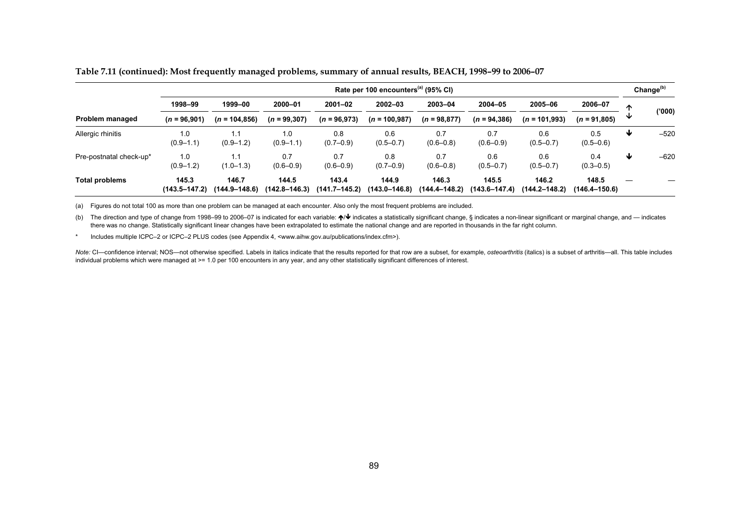|                         | Rate per 100 encounters <sup>(a)</sup> (95% CI) |                        |                            |                            |                        |                        |                            |                        |                            |   |        |
|-------------------------|-------------------------------------------------|------------------------|----------------------------|----------------------------|------------------------|------------------------|----------------------------|------------------------|----------------------------|---|--------|
|                         | 1998-99                                         | 1999-00                | 2000-01                    | $2001 - 02$                | $2002 - 03$            | 2003-04                | 2004-05                    | 2005-06                | 2006-07                    | ∧ |        |
| Problem managed         | $(n = 96,901)$                                  | $(n = 104, 856)$       | $(n = 99, 307)$            | $(n = 96,973)$             | $(n = 100, 987)$       | $(n = 98, 877)$        | $(n = 94, 386)$            | $(n = 101,993)$        | $(n = 91,805)$             | v | ('000) |
| Allergic rhinitis       | 1.0<br>$(0.9 - 1.1)$                            | $(0.9 - 1.2)$          | 1.0<br>$(0.9 - 1.1)$       | 0.8<br>$(0.7 - 0.9)$       | 0.6<br>$(0.5 - 0.7)$   | 0.7<br>$(0.6 - 0.8)$   | 0.7<br>$(0.6 - 0.9)$       | 0.6<br>$(0.5 - 0.7)$   | 0.5<br>$(0.5 - 0.6)$       | ₩ | $-520$ |
| Pre-postnatal check-up* | 1.0<br>$(0.9 - 1.2)$                            | 1.1<br>$(1.0 - 1.3)$   | 0.7<br>$(0.6 - 0.9)$       | 0.7<br>$(0.6 - 0.9)$       | 0.8<br>$(0.7 - 0.9)$   | 0.7<br>$(0.6 - 0.8)$   | 0.6<br>$(0.5 - 0.7)$       | 0.6<br>$(0.5 - 0.7)$   | 0.4<br>$(0.3 - 0.5)$       | ₩ | $-620$ |
| <b>Total problems</b>   | 145.3<br>$(143.5 - 147.2)$                      | 146.7<br>(144.9–148.6) | 144.5<br>$(142.8 - 146.3)$ | 143.4<br>$(141.7 - 145.2)$ | 144.9<br>(143.0–146.8) | 146.3<br>(144.4-148.2) | 145.5<br>$(143.6 - 147.4)$ | 146.2<br>(144.2–148.2) | 148.5<br>$(146.4 - 150.6)$ |   |        |

**Table 7.11 (continued): Most frequently managed problems, summary of annual results, BEACH, 1998–99 to 2006–07** 

(a) Figures do not total 100 as more than one problem can be managed at each encounter. Also only the most frequent problems are included.

(b) The direction and type of change from 1998–99 to 2006–07 is indicated for each variable: Ï/Ð indicates a statistically significant change, § indicates a non-linear significant or marginal change, and — indicates there was no change. Statistically significant linear changes have been extrapolated to estimate the national change and are reported in thousands in the far right column.

\* Includes multiple ICPC–2 or ICPC–2 PLUS codes (see Appendix 4, <www.aihw.gov.au/publications/index.cfm>).

Note: CI-confidence interval; NOS-not otherwise specified. Labels in italics indicate that the results reported for that row are a subset, for example, osteoarthritis (italics) is a subset of arthritis-all. This table incl individual problems which were managed at >= 1.0 per 100 encounters in any year, and any other statistically significant differences of interest.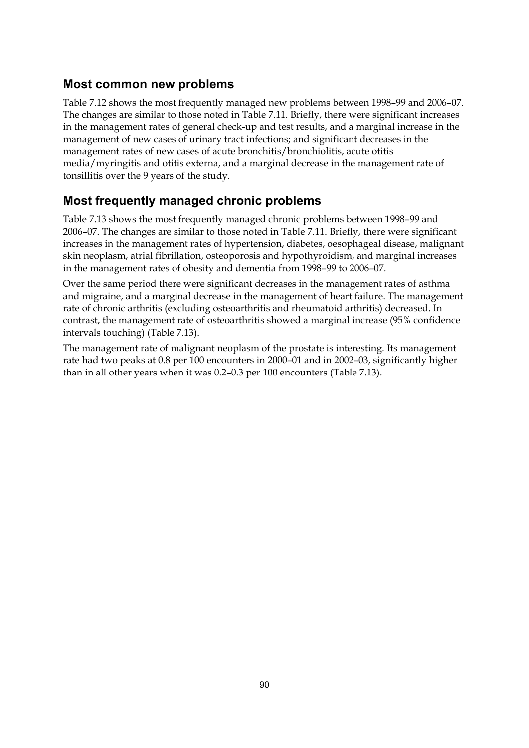### **Most common new problems**

Table 7.12 shows the most frequently managed new problems between 1998–99 and 2006–07. The changes are similar to those noted in Table 7.11. Briefly, there were significant increases in the management rates of general check-up and test results, and a marginal increase in the management of new cases of urinary tract infections; and significant decreases in the management rates of new cases of acute bronchitis/bronchiolitis, acute otitis media/myringitis and otitis externa, and a marginal decrease in the management rate of tonsillitis over the 9 years of the study.

# **Most frequently managed chronic problems**

Table 7.13 shows the most frequently managed chronic problems between 1998–99 and 2006–07. The changes are similar to those noted in Table 7.11. Briefly, there were significant increases in the management rates of hypertension, diabetes, oesophageal disease, malignant skin neoplasm, atrial fibrillation, osteoporosis and hypothyroidism, and marginal increases in the management rates of obesity and dementia from 1998–99 to 2006–07.

Over the same period there were significant decreases in the management rates of asthma and migraine, and a marginal decrease in the management of heart failure. The management rate of chronic arthritis (excluding osteoarthritis and rheumatoid arthritis) decreased. In contrast, the management rate of osteoarthritis showed a marginal increase (95% confidence intervals touching) (Table 7.13).

The management rate of malignant neoplasm of the prostate is interesting. Its management rate had two peaks at 0.8 per 100 encounters in 2000–01 and in 2002–03, significantly higher than in all other years when it was 0.2–0.3 per 100 encounters (Table 7.13).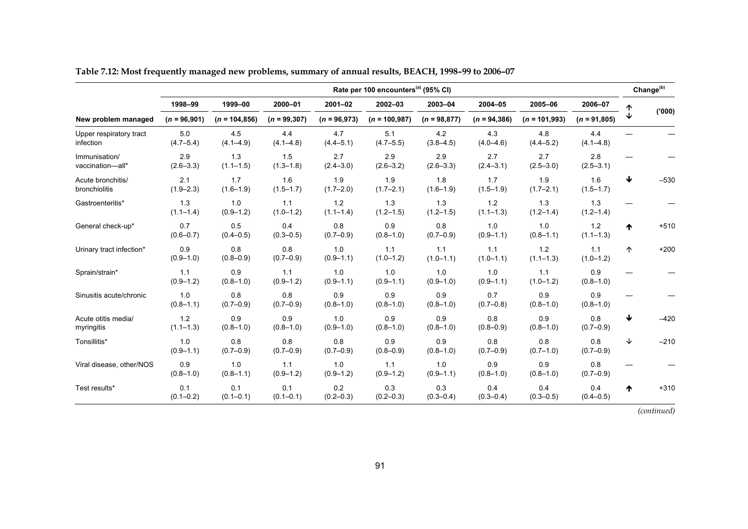|                                      | Rate per 100 encounters <sup>(a)</sup> (95% CI) |                      |                      |                      |                      |                      |                        |                      |                      |   |        |
|--------------------------------------|-------------------------------------------------|----------------------|----------------------|----------------------|----------------------|----------------------|------------------------|----------------------|----------------------|---|--------|
|                                      | 1998-99                                         | 1999-00              | 2000-01              | $2001 - 02$          | 2002-03              | 2003-04              | 2004-05                | 2005-06              | 2006-07              |   |        |
| New problem managed                  | $(n = 96,901)$                                  | $(n = 104, 856)$     | $(n = 99, 307)$      | $(n = 96,973)$       | $(n = 100, 987)$     | $(n = 98, 877)$      | $(n = 94, 386)$        | $(n = 101,993)$      | $(n = 91,805)$       | ↓ | (000)  |
| Upper respiratory tract<br>infection | 5.0<br>$(4.7 - 5.4)$                            | 4.5<br>$(4.1 - 4.9)$ | 4.4<br>$(4.1 - 4.8)$ | 4.7<br>$(4.4 - 5.1)$ | 5.1<br>$(4.7 - 5.5)$ | 4.2<br>$(3.8 - 4.5)$ | 4.3<br>$(4.0 - 4.6)$   | 4.8<br>$(4.4 - 5.2)$ | 4.4<br>$(4.1 - 4.8)$ |   |        |
| Immunisation/<br>vaccination-all*    | 2.9<br>$(2.6 - 3.3)$                            | 1.3<br>$(1.1 - 1.5)$ | 1.5<br>$(1.3 - 1.8)$ | 2.7<br>$(2.4 - 3.0)$ | 2.9<br>$(2.6 - 3.2)$ | 2.9<br>$(2.6 - 3.3)$ | 2.7<br>$(2.4 - 3.1)$   | 2.7<br>$(2.5 - 3.0)$ | 2.8<br>$(2.5 - 3.1)$ |   |        |
| Acute bronchitis/<br>bronchiolitis   | 2.1<br>$(1.9 - 2.3)$                            | 1.7<br>$(1.6 - 1.9)$ | 1.6<br>$(1.5 - 1.7)$ | 1.9<br>$(1.7 - 2.0)$ | 1.9<br>$(1.7 - 2.1)$ | 1.8<br>$(1.6 - 1.9)$ | 1.7<br>$(1.5 - 1.9)$   | 1.9<br>$(1.7 - 2.1)$ | 1.6<br>$(1.5 - 1.7)$ | ₩ | $-530$ |
| Gastroenteritis*                     | 1.3<br>$(1.1 - 1.4)$                            | 1.0<br>$(0.9 - 1.2)$ | 1.1<br>$(1.0 - 1.2)$ | 1.2<br>$(1.1 - 1.4)$ | 1.3<br>$(1.2 - 1.5)$ | 1.3<br>$(1.2 - 1.5)$ | $1.2$<br>$(1.1 - 1.3)$ | 1.3<br>$(1.2 - 1.4)$ | 1.3<br>$(1.2 - 1.4)$ |   |        |
| General check-up*                    | 0.7<br>$(0.6 - 0.7)$                            | 0.5<br>$(0.4 - 0.5)$ | 0.4<br>$(0.3 - 0.5)$ | 0.8<br>$(0.7 - 0.9)$ | 0.9<br>$(0.8 - 1.0)$ | 0.8<br>$(0.7 - 0.9)$ | 1.0<br>$(0.9 - 1.1)$   | 1.0<br>$(0.8 - 1.1)$ | 1.2<br>$(1.1 - 1.3)$ | ↑ | $+510$ |
| Urinary tract infection*             | 0.9<br>$(0.9 - 1.0)$                            | 0.8<br>$(0.8 - 0.9)$ | 0.8<br>$(0.7 - 0.9)$ | 1.0<br>$(0.9 - 1.1)$ | 1.1<br>$(1.0 - 1.2)$ | 1.1<br>$(1.0 - 1.1)$ | 1.1<br>$(1.0 - 1.1)$   | 1.2<br>$(1.1 - 1.3)$ | 1.1<br>$(1.0 - 1.2)$ | 个 | $+200$ |
| Sprain/strain*                       | 1.1<br>$(0.9 - 1.2)$                            | 0.9<br>$(0.8 - 1.0)$ | 1.1<br>$(0.9 - 1.2)$ | 1.0<br>$(0.9 - 1.1)$ | 1.0<br>$(0.9 - 1.1)$ | 1.0<br>$(0.9 - 1.0)$ | 1.0<br>$(0.9 - 1.1)$   | 1.1<br>$(1.0 - 1.2)$ | 0.9<br>$(0.8 - 1.0)$ |   |        |
| Sinusitis acute/chronic              | 1.0<br>$(0.8 - 1.1)$                            | 0.8<br>$(0.7 - 0.9)$ | 0.8<br>$(0.7 - 0.9)$ | 0.9<br>$(0.8 - 1.0)$ | 0.9<br>$(0.8 - 1.0)$ | 0.9<br>$(0.8 - 1.0)$ | 0.7<br>$(0.7 - 0.8)$   | 0.9<br>$(0.8 - 1.0)$ | 0.9<br>$(0.8 - 1.0)$ |   |        |
| Acute otitis media/<br>myringitis    | 1.2<br>$(1.1 - 1.3)$                            | 0.9<br>$(0.8 - 1.0)$ | 0.9<br>$(0.8 - 1.0)$ | 1.0<br>$(0.9 - 1.0)$ | 0.9<br>$(0.8 - 1.0)$ | 0.9<br>$(0.8 - 1.0)$ | 0.8<br>$(0.8 - 0.9)$   | 0.9<br>$(0.8 - 1.0)$ | 0.8<br>$(0.7 - 0.9)$ | ↓ | $-420$ |
| Tonsillitis*                         | 1.0<br>$(0.9 - 1.1)$                            | 0.8<br>$(0.7 - 0.9)$ | 0.8<br>$(0.7 - 0.9)$ | 0.8<br>$(0.7 - 0.9)$ | 0.9<br>$(0.8 - 0.9)$ | 0.9<br>$(0.8 - 1.0)$ | 0.8<br>$(0.7 - 0.9)$   | 0.8<br>$(0.7 - 1.0)$ | 0.8<br>$(0.7 - 0.9)$ | ↓ | $-210$ |
| Viral disease, other/NOS             | 0.9<br>$(0.8 - 1.0)$                            | 1.0<br>$(0.8 - 1.1)$ | 1.1<br>$(0.9 - 1.2)$ | 1.0<br>$(0.9 - 1.2)$ | 1.1<br>$(0.9 - 1.2)$ | 1.0<br>$(0.9 - 1.1)$ | 0.9<br>$(0.8 - 1.0)$   | 0.9<br>$(0.8 - 1.0)$ | 0.8<br>$(0.7 - 0.9)$ |   |        |
| Test results*                        | 0.1<br>$(0.1 - 0.2)$                            | 0.1<br>$(0.1 - 0.1)$ | 0.1<br>$(0.1 - 0.1)$ | 0.2<br>$(0.2 - 0.3)$ | 0.3<br>$(0.2 - 0.3)$ | 0.3<br>$(0.3 - 0.4)$ | 0.4<br>$(0.3 - 0.4)$   | 0.4<br>$(0.3 - 0.5)$ | 0.4<br>$(0.4 - 0.5)$ | ᠰ | $+310$ |

**Table 7.12: Most frequently managed new problems, summary of annual results, BEACH, 1998–99 to 2006–07**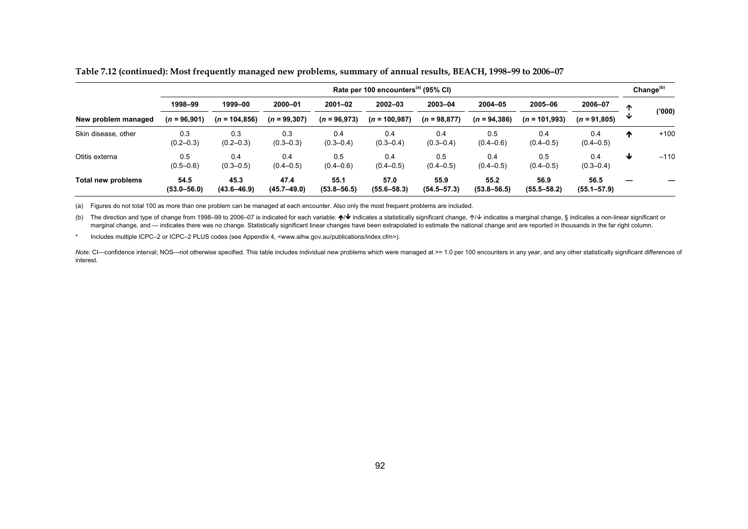|                     | Rate per 100 encounters <sup>(a)</sup> (95% CI) |                         |                         |                         |                         |                         |                         |                         |                         |   |        |
|---------------------|-------------------------------------------------|-------------------------|-------------------------|-------------------------|-------------------------|-------------------------|-------------------------|-------------------------|-------------------------|---|--------|
|                     | 1998-99                                         | 1999-00                 | 2000-01                 | $2001 - 02$             | $2002 - 03$             | 2003-04                 | 2004-05                 | 2005-06                 | 2006-07                 | ∧ |        |
| New problem managed | $(n = 96,901)$                                  | $(n = 104, 856)$        | $(n = 99, 307)$         | $(n = 96,973)$          | $(n = 100.987)$         | $(n = 98, 877)$         | $(n = 94, 386)$         | $(n = 101,993)$         | $(n = 91,805)$          | ◡ | (000)' |
| Skin disease, other | 0.3<br>$(0.2 - 0.3)$                            | 0.3<br>$(0.2 - 0.3)$    | 0.3<br>$(0.3 - 0.3)$    | 0.4<br>$(0.3 - 0.4)$    | 0.4<br>$(0.3 - 0.4)$    | 0.4<br>$(0.3 - 0.4)$    | 0.5<br>$(0.4 - 0.6)$    | 0.4<br>$(0.4 - 0.5)$    | 0.4<br>$(0.4 - 0.5)$    | ₼ | $+100$ |
| Otitis externa      | 0.5<br>$(0.5 - 0.6)$                            | 0.4<br>$(0.3 - 0.5)$    | 0.4<br>$(0.4 - 0.5)$    | 0.5<br>$(0.4 - 0.6)$    | 0.4<br>$(0.4 - 0.5)$    | 0.5<br>$(0.4 - 0.5)$    | 0.4<br>$(0.4 - 0.5)$    | 0.5<br>$(0.4 - 0.5)$    | 0.4<br>$(0.3 - 0.4)$    | ₩ | $-110$ |
| Total new problems  | 54.5<br>$(53.0 - 56.0)$                         | 45.3<br>$(43.6 - 46.9)$ | 47.4<br>$(45.7 - 49.0)$ | 55.1<br>$(53.8 - 56.5)$ | 57.0<br>$(55.6 - 58.3)$ | 55.9<br>$(54.5 - 57.3)$ | 55.2<br>$(53.8 - 56.5)$ | 56.9<br>$(55.5 - 58.2)$ | 56.5<br>$(55.1 - 57.9)$ |   |        |

**Table 7.12 (continued): Most frequently managed new problems, summary of annual results, BEACH, 1998–99 to 2006–07** 

(a) Figures do not total 100 as more than one problem can be managed at each encounter. Also only the most frequent problems are included.

(b) The direction and type of change from 1998–99 to 2006–07 is indicated for each variable: ↑/↓ indicates a statistically significant change, ↑/↓ indicates a marginal change, § indicates a non-linear significant or marginal change, and — indicates there was no change. Statistically significant linear changes have been extrapolated to estimate the national change and are reported in thousands in the far right column.

\* Includes multiple ICPC–2 or ICPC–2 PLUS codes (see Appendix 4, <www.aihw.gov.au/publications/index.cfm>).

Note: CI-confidence interval; NOS-not otherwise specified. This table includes individual new problems which were managed at >= 1.0 per 100 encounters in any year, and any other statistically significant differences of interest.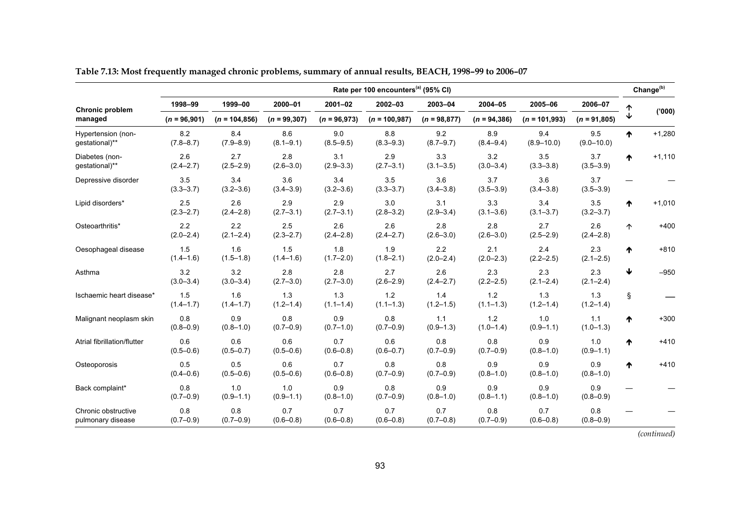|                                          |                      |                      |                      |                      | Rate per 100 encounters <sup>(a)</sup> (95% CI) |                      |                        |                       |                       |   | Change <sup>(b)</sup> |
|------------------------------------------|----------------------|----------------------|----------------------|----------------------|-------------------------------------------------|----------------------|------------------------|-----------------------|-----------------------|---|-----------------------|
| Chronic problem                          | 1998-99              | 1999-00              | 2000-01              | $2001 - 02$          | 2002-03                                         | 2003-04              | 2004-05                | 2005-06               | 2006-07               |   |                       |
| managed                                  | $(n = 96,901)$       | $(n = 104, 856)$     | $(n = 99, 307)$      | $(n = 96,973)$       | $(n = 100, 987)$                                | $(n = 98, 877)$      | $(n = 94, 386)$        | $(n = 101,993)$       | $(n = 91,805)$        |   | (000)                 |
| Hypertension (non-<br>gestational)**     | 8.2<br>$(7.8 - 8.7)$ | 8.4<br>$(7.9 - 8.9)$ | 8.6<br>$(8.1 - 9.1)$ | 9.0<br>$(8.5 - 9.5)$ | 8.8<br>$(8.3 - 9.3)$                            | 9.2<br>$(8.7 - 9.7)$ | 8.9<br>$(8.4 - 9.4)$   | 9.4<br>$(8.9 - 10.0)$ | 9.5<br>$(9.0 - 10.0)$ | ᠰ | $+1,280$              |
| Diabetes (non-<br>gestational)**         | 2.6<br>$(2.4 - 2.7)$ | 2.7<br>$(2.5 - 2.9)$ | 2.8<br>$(2.6 - 3.0)$ | 3.1<br>$(2.9 - 3.3)$ | 2.9<br>$(2.7 - 3.1)$                            | 3.3<br>$(3.1 - 3.5)$ | 3.2<br>$(3.0 - 3.4)$   | 3.5<br>$(3.3 - 3.8)$  | 3.7<br>$(3.5 - 3.9)$  | ^ | $+1,110$              |
| Depressive disorder                      | 3.5<br>$(3.3 - 3.7)$ | 3.4<br>$(3.2 - 3.6)$ | 3.6<br>$(3.4 - 3.9)$ | 3.4<br>$(3.2 - 3.6)$ | 3.5<br>$(3.3 - 3.7)$                            | 3.6<br>$(3.4 - 3.8)$ | 3.7<br>$(3.5 - 3.9)$   | 3.6<br>$(3.4 - 3.8)$  | 3.7<br>$(3.5 - 3.9)$  |   |                       |
| Lipid disorders*                         | 2.5<br>$(2.3 - 2.7)$ | 2.6<br>$(2.4 - 2.8)$ | 2.9<br>$(2.7 - 3.1)$ | 2.9<br>$(2.7 - 3.1)$ | 3.0<br>$(2.8 - 3.2)$                            | 3.1<br>$(2.9 - 3.4)$ | 3.3<br>$(3.1 - 3.6)$   | 3.4<br>$(3.1 - 3.7)$  | 3.5<br>$(3.2 - 3.7)$  | ₳ | $+1,010$              |
| Osteoarthritis*                          | 2.2<br>$(2.0 - 2.4)$ | 2.2<br>$(2.1 - 2.4)$ | 2.5<br>$(2.3 - 2.7)$ | 2.6<br>$(2.4 - 2.8)$ | 2.6<br>$(2.4 - 2.7)$                            | 2.8<br>$(2.6 - 3.0)$ | 2.8<br>$(2.6 - 3.0)$   | 2.7<br>$(2.5 - 2.9)$  | 2.6<br>$(2.4 - 2.8)$  | 个 | $+400$                |
| Oesophageal disease                      | 1.5<br>$(1.4 - 1.6)$ | 1.6<br>$(1.5 - 1.8)$ | 1.5<br>$(1.4 - 1.6)$ | 1.8<br>$(1.7 - 2.0)$ | 1.9<br>$(1.8 - 2.1)$                            | 2.2<br>$(2.0 - 2.4)$ | 2.1<br>$(2.0 - 2.3)$   | 2.4<br>$(2.2 - 2.5)$  | 2.3<br>$(2.1 - 2.5)$  | ᠰ | $+810$                |
| Asthma                                   | 3.2<br>$(3.0 - 3.4)$ | 3.2<br>$(3.0 - 3.4)$ | 2.8<br>$(2.7 - 3.0)$ | 2.8<br>$(2.7 - 3.0)$ | 2.7<br>$(2.6 - 2.9)$                            | 2.6<br>$(2.4 - 2.7)$ | 2.3<br>$(2.2 - 2.5)$   | 2.3<br>$(2.1 - 2.4)$  | 2.3<br>$(2.1 - 2.4)$  | ↓ | $-950$                |
| Ischaemic heart disease*                 | 1.5<br>$(1.4 - 1.7)$ | 1.6<br>$(1.4 - 1.7)$ | 1.3<br>$(1.2 - 1.4)$ | 1.3<br>$(1.1 - 1.4)$ | 1.2<br>$(1.1 - 1.3)$                            | 1.4<br>$(1.2 - 1.5)$ | $1.2$<br>$(1.1 - 1.3)$ | 1.3<br>$(1.2 - 1.4)$  | 1.3<br>$(1.2 - 1.4)$  | Ş |                       |
| Malignant neoplasm skin                  | 0.8<br>$(0.8 - 0.9)$ | 0.9<br>$(0.8 - 1.0)$ | 0.8<br>$(0.7 - 0.9)$ | 0.9<br>$(0.7 - 1.0)$ | 0.8<br>$(0.7 - 0.9)$                            | 1.1<br>$(0.9 - 1.3)$ | 1.2<br>$(1.0 - 1.4)$   | 1.0<br>$(0.9 - 1.1)$  | 1.1<br>$(1.0 - 1.3)$  | ᠰ | $+300$                |
| Atrial fibrillation/flutter              | 0.6<br>$(0.5 - 0.6)$ | 0.6<br>$(0.5 - 0.7)$ | 0.6<br>$(0.5 - 0.6)$ | 0.7<br>$(0.6 - 0.8)$ | 0.6<br>$(0.6 - 0.7)$                            | 0.8<br>$(0.7 - 0.9)$ | 0.8<br>$(0.7 - 0.9)$   | 0.9<br>$(0.8 - 1.0)$  | 1.0<br>$(0.9 - 1.1)$  | ₼ | $+410$                |
| Osteoporosis                             | 0.5<br>$(0.4 - 0.6)$ | 0.5<br>$(0.5 - 0.6)$ | 0.6<br>$(0.5 - 0.6)$ | 0.7<br>$(0.6 - 0.8)$ | 0.8<br>$(0.7 - 0.9)$                            | 0.8<br>$(0.7 - 0.9)$ | 0.9<br>$(0.8 - 1.0)$   | 0.9<br>$(0.8 - 1.0)$  | 0.9<br>$(0.8 - 1.0)$  | ♠ | $+410$                |
| Back complaint*                          | 0.8<br>$(0.7 - 0.9)$ | 1.0<br>$(0.9 - 1.1)$ | 1.0<br>$(0.9 - 1.1)$ | 0.9<br>$(0.8 - 1.0)$ | 0.8<br>$(0.7 - 0.9)$                            | 0.9<br>$(0.8 - 1.0)$ | 0.9<br>$(0.8 - 1.1)$   | 0.9<br>$(0.8 - 1.0)$  | 0.9<br>$(0.8 - 0.9)$  |   |                       |
| Chronic obstructive<br>pulmonary disease | 0.8<br>$(0.7 - 0.9)$ | 0.8<br>$(0.7 - 0.9)$ | 0.7<br>$(0.6 - 0.8)$ | 0.7<br>$(0.6 - 0.8)$ | 0.7<br>$(0.6 - 0.8)$                            | 0.7<br>$(0.7 - 0.8)$ | 0.8<br>$(0.7 - 0.9)$   | 0.7<br>$(0.6 - 0.8)$  | 0.8<br>$(0.8 - 0.9)$  |   |                       |

| Table 7.13: Most frequently managed chronic problems, summary of annual results, BEACH, 1998–99 to 2006–07 |  |  |  |
|------------------------------------------------------------------------------------------------------------|--|--|--|
|                                                                                                            |  |  |  |